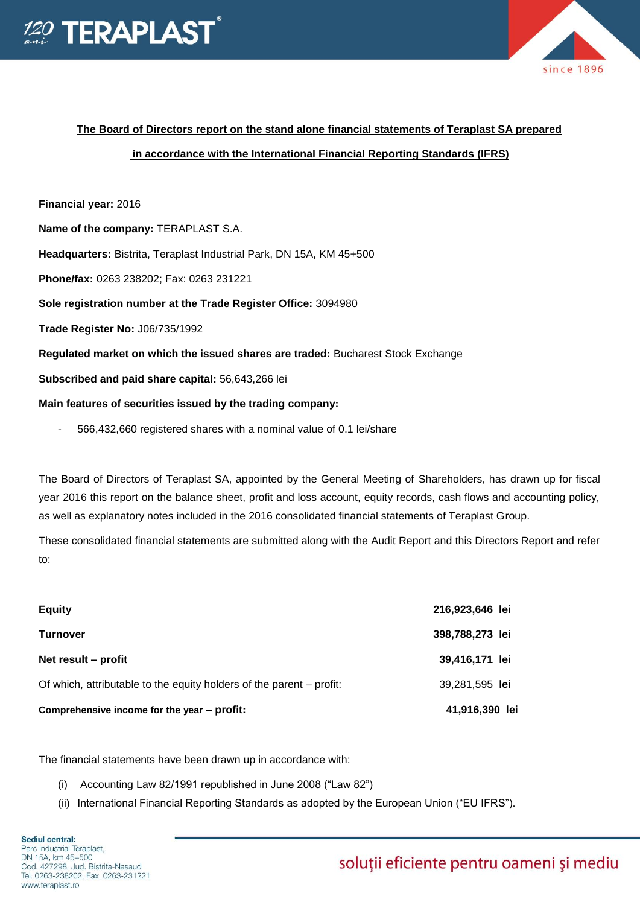



# **The Board of Directors report on the stand alone financial statements of Teraplast SA prepared**

## **in accordance with the International Financial Reporting Standards (IFRS)**

## **Financial year:** 2016

**Name of the company:** TERAPLAST S.A.

**Headquarters:** Bistrita, Teraplast Industrial Park, DN 15A, KM 45+500

**Phone/fax:** 0263 238202; Fax: 0263 231221

**Sole registration number at the Trade Register Office:** 3094980

**Trade Register No:** J06/735/1992

**Regulated market on which the issued shares are traded:** Bucharest Stock Exchange

**Subscribed and paid share capital:** 56,643,266 lei

#### **Main features of securities issued by the trading company:**

- 566,432,660 registered shares with a nominal value of 0.1 lei/share

The Board of Directors of Teraplast SA, appointed by the General Meeting of Shareholders, has drawn up for fiscal year 2016 this report on the balance sheet, profit and loss account, equity records, cash flows and accounting policy, as well as explanatory notes included in the 2016 consolidated financial statements of Teraplast Group.

These consolidated financial statements are submitted along with the Audit Report and this Directors Report and refer to:

| Comprehensive income for the year - profit:                          | 41,916,390 lei  |
|----------------------------------------------------------------------|-----------------|
| Of which, attributable to the equity holders of the parent – profit: | 39,281,595 lei  |
| Net result – profit                                                  | 39,416,171 lei  |
| <b>Turnover</b>                                                      | 398,788,273 lei |
| <b>Equity</b>                                                        | 216,923,646 lei |

The financial statements have been drawn up in accordance with:

- (i) Accounting Law 82/1991 republished in June 2008 ("Law 82")
- (ii) International Financial Reporting Standards as adopted by the European Union ("EU IFRS").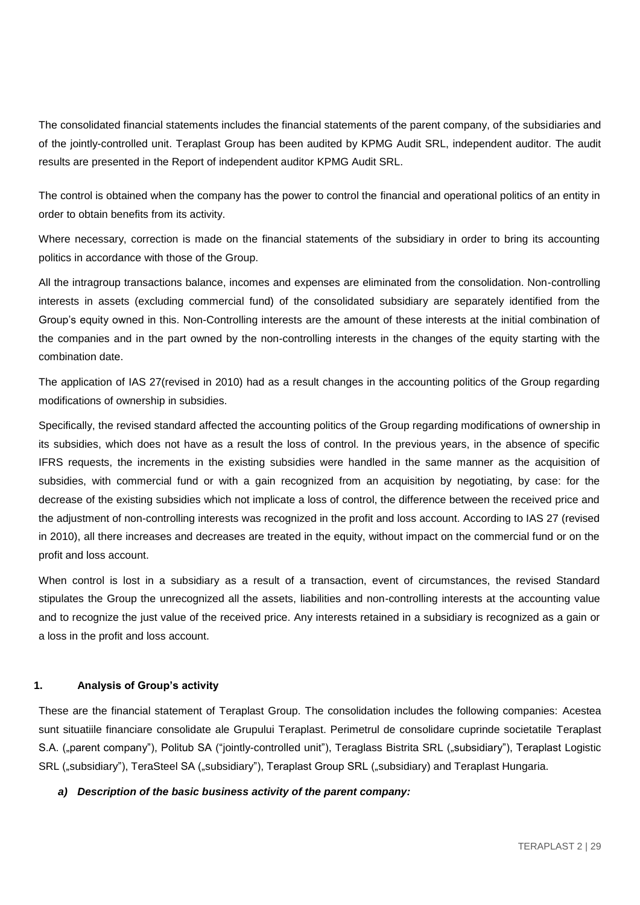The consolidated financial statements includes the financial statements of the parent company, of the subsidiaries and of the jointly-controlled unit. Teraplast Group has been audited by KPMG Audit SRL, independent auditor. The audit results are presented in the Report of independent auditor KPMG Audit SRL.

The control is obtained when the company has the power to control the financial and operational politics of an entity in order to obtain benefits from its activity.

Where necessary, correction is made on the financial statements of the subsidiary in order to bring its accounting politics in accordance with those of the Group.

All the intragroup transactions balance, incomes and expenses are eliminated from the consolidation. Non-controlling interests in assets (excluding commercial fund) of the consolidated subsidiary are separately identified from the Group's equity owned in this. Non-Controlling interests are the amount of these interests at the initial combination of the companies and in the part owned by the non-controlling interests in the changes of the equity starting with the combination date.

The application of IAS 27(revised in 2010) had as a result changes in the accounting politics of the Group regarding modifications of ownership in subsidies.

Specifically, the revised standard affected the accounting politics of the Group regarding modifications of ownership in its subsidies, which does not have as a result the loss of control. In the previous years, in the absence of specific IFRS requests, the increments in the existing subsidies were handled in the same manner as the acquisition of subsidies, with commercial fund or with a gain recognized from an acquisition by negotiating, by case: for the decrease of the existing subsidies which not implicate a loss of control, the difference between the received price and the adjustment of non-controlling interests was recognized in the profit and loss account. According to IAS 27 (revised in 2010), all there increases and decreases are treated in the equity, without impact on the commercial fund or on the profit and loss account.

When control is lost in a subsidiary as a result of a transaction, event of circumstances, the revised Standard stipulates the Group the unrecognized all the assets, liabilities and non-controlling interests at the accounting value and to recognize the just value of the received price. Any interests retained in a subsidiary is recognized as a gain or a loss in the profit and loss account.

### **1. Analysis of Group's activity**

These are the financial statement of Teraplast Group. The consolidation includes the following companies: Acestea sunt situatiile financiare consolidate ale Grupului Teraplast. Perimetrul de consolidare cuprinde societatile Teraplast S.A. ("parent company"), Politub SA ("jointly-controlled unit"), Teraglass Bistrita SRL ("subsidiary"), Teraplast Logistic SRL ("subsidiary"), TeraSteel SA ("subsidiary"), Teraplast Group SRL ("subsidiary) and Teraplast Hungaria.

### *a) Description of the basic business activity of the parent company:*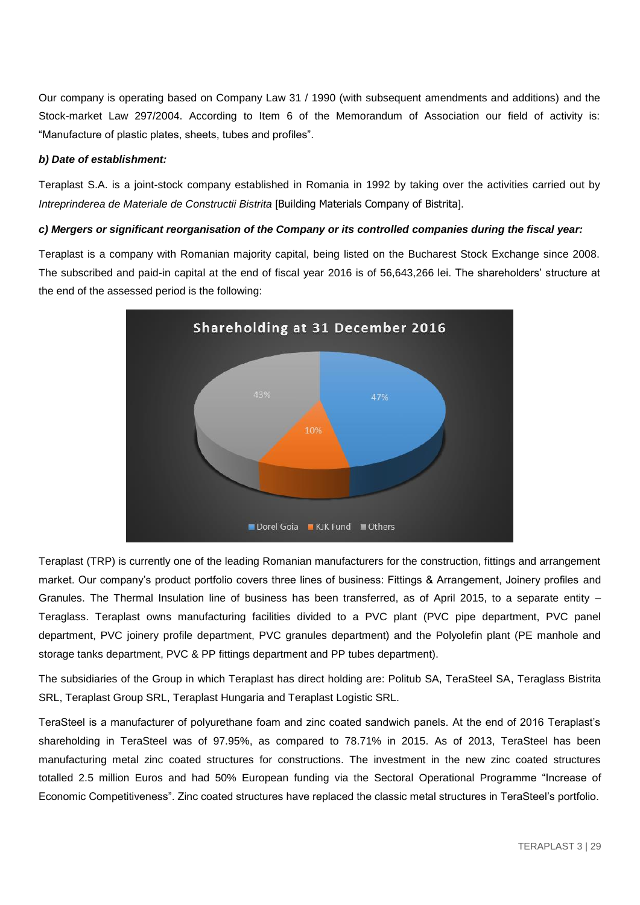Our company is operating based on Company Law 31 / 1990 (with subsequent amendments and additions) and the Stock-market Law 297/2004. According to Item 6 of the Memorandum of Association our field of activity is: "Manufacture of plastic plates, sheets, tubes and profiles".

## *b) Date of establishment:*

Teraplast S.A. is a joint-stock company established in Romania in 1992 by taking over the activities carried out by *Intreprinderea de Materiale de Constructii Bistrita* [Building Materials Company of Bistrita].

## *c) Mergers or significant reorganisation of the Company or its controlled companies during the fiscal year:*

Teraplast is a company with Romanian majority capital, being listed on the Bucharest Stock Exchange since 2008. The subscribed and paid-in capital at the end of fiscal year 2016 is of 56,643,266 lei. The shareholders' structure at the end of the assessed period is the following:



Teraplast (TRP) is currently one of the leading Romanian manufacturers for the construction, fittings and arrangement market. Our company's product portfolio covers three lines of business: Fittings & Arrangement, Joinery profiles and Granules. The Thermal Insulation line of business has been transferred, as of April 2015, to a separate entity – Teraglass. Teraplast owns manufacturing facilities divided to a PVC plant (PVC pipe department, PVC panel department, PVC joinery profile department, PVC granules department) and the Polyolefin plant (PE manhole and storage tanks department, PVC & PP fittings department and PP tubes department).

The subsidiaries of the Group in which Teraplast has direct holding are: Politub SA, TeraSteel SA, Teraglass Bistrita SRL, Teraplast Group SRL, Teraplast Hungaria and Teraplast Logistic SRL.

TeraSteel is a manufacturer of polyurethane foam and zinc coated sandwich panels. At the end of 2016 Teraplast's shareholding in TeraSteel was of 97.95%, as compared to 78.71% in 2015. As of 2013, TeraSteel has been manufacturing metal zinc coated structures for constructions. The investment in the new zinc coated structures totalled 2.5 million Euros and had 50% European funding via the Sectoral Operational Programme "Increase of Economic Competitiveness". Zinc coated structures have replaced the classic metal structures in TeraSteel's portfolio.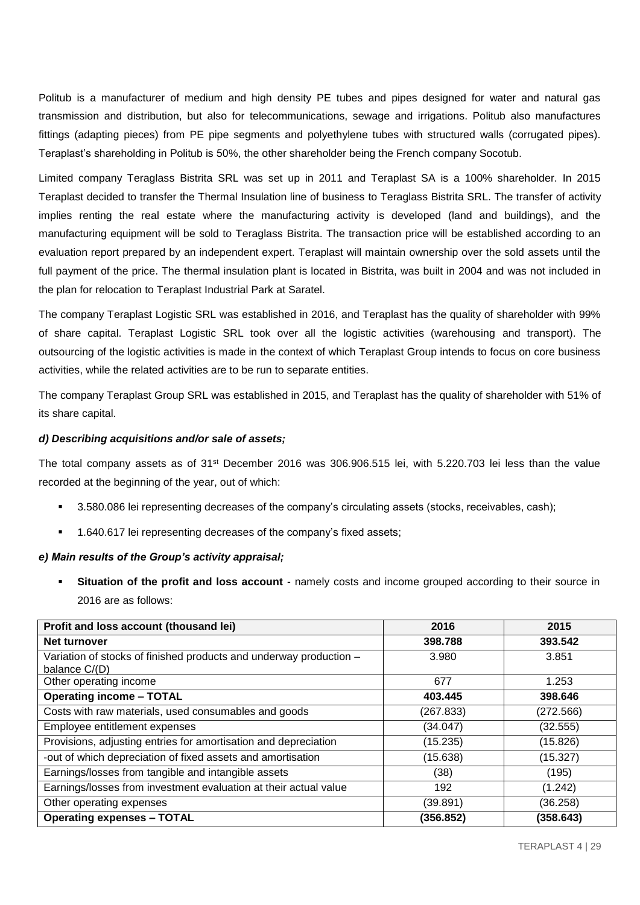Politub is a manufacturer of medium and high density PE tubes and pipes designed for water and natural gas transmission and distribution, but also for telecommunications, sewage and irrigations. Politub also manufactures fittings (adapting pieces) from PE pipe segments and polyethylene tubes with structured walls (corrugated pipes). Teraplast's shareholding in Politub is 50%, the other shareholder being the French company Socotub.

Limited company Teraglass Bistrita SRL was set up in 2011 and Teraplast SA is a 100% shareholder. In 2015 Teraplast decided to transfer the Thermal Insulation line of business to Teraglass Bistrita SRL. The transfer of activity implies renting the real estate where the manufacturing activity is developed (land and buildings), and the manufacturing equipment will be sold to Teraglass Bistrita. The transaction price will be established according to an evaluation report prepared by an independent expert. Teraplast will maintain ownership over the sold assets until the full payment of the price. The thermal insulation plant is located in Bistrita, was built in 2004 and was not included in the plan for relocation to Teraplast Industrial Park at Saratel.

The company Teraplast Logistic SRL was established in 2016, and Teraplast has the quality of shareholder with 99% of share capital. Teraplast Logistic SRL took over all the logistic activities (warehousing and transport). The outsourcing of the logistic activities is made in the context of which Teraplast Group intends to focus on core business activities, while the related activities are to be run to separate entities.

The company Teraplast Group SRL was established in 2015, and Teraplast has the quality of shareholder with 51% of its share capital.

## *d) Describing acquisitions and/or sale of assets;*

The total company assets as of 31st December 2016 was 306.906.515 lei, with 5.220.703 lei less than the value recorded at the beginning of the year, out of which:

- 3.580.086 lei representing decreases of the company's circulating assets (stocks, receivables, cash);
- 1.640.617 lei representing decreases of the company's fixed assets;

### *e) Main results of the Group's activity appraisal;*

 **Situation of the profit and loss account** - namely costs and income grouped according to their source in 2016 are as follows:

| Profit and loss account (thousand lei)                             | 2016      | 2015      |
|--------------------------------------------------------------------|-----------|-----------|
| Net turnover                                                       | 398.788   | 393.542   |
| Variation of stocks of finished products and underway production - | 3.980     | 3.851     |
| balance C/(D)                                                      |           |           |
| Other operating income                                             | 677       | 1.253     |
| <b>Operating income - TOTAL</b>                                    | 403.445   | 398.646   |
| Costs with raw materials, used consumables and goods               | (267.833) | (272.566) |
| Employee entitlement expenses                                      | (34.047)  | (32.555)  |
| Provisions, adjusting entries for amortisation and depreciation    | (15.235)  | (15.826)  |
| -out of which depreciation of fixed assets and amortisation        | (15.638)  | (15.327)  |
| Earnings/losses from tangible and intangible assets                | (38)      | (195)     |
| Earnings/losses from investment evaluation at their actual value   | 192       | (1.242)   |
| Other operating expenses                                           | (39.891)  | (36.258)  |
| <b>Operating expenses - TOTAL</b>                                  | (356.852) | (358.643) |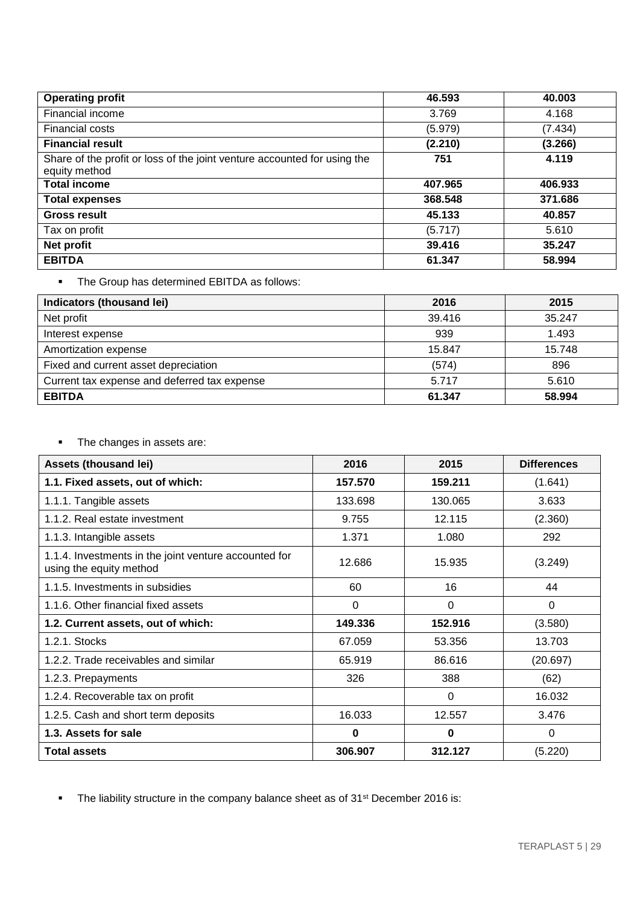| <b>Operating profit</b>                                                                   | 46.593  | 40.003  |
|-------------------------------------------------------------------------------------------|---------|---------|
| Financial income                                                                          | 3.769   | 4.168   |
| Financial costs                                                                           | (5.979) | (7.434) |
| <b>Financial result</b>                                                                   | (2.210) | (3.266) |
| Share of the profit or loss of the joint venture accounted for using the<br>equity method | 751     | 4.119   |
| <b>Total income</b>                                                                       | 407.965 | 406.933 |
| <b>Total expenses</b>                                                                     | 368.548 | 371.686 |
| <b>Gross result</b>                                                                       | 45.133  | 40.857  |
| Tax on profit                                                                             | (5.717) | 5.610   |
| Net profit                                                                                | 39.416  | 35.247  |
| <b>EBITDA</b>                                                                             | 61.347  | 58.994  |

## **The Group has determined EBITDA as follows:**

| Indicators (thousand lei)                    | 2016   | 2015   |
|----------------------------------------------|--------|--------|
| Net profit                                   | 39.416 | 35.247 |
| Interest expense                             | 939    | 1.493  |
| Amortization expense                         | 15.847 | 15.748 |
| Fixed and current asset depreciation         | (574)  | 896    |
| Current tax expense and deferred tax expense | 5.717  | 5.610  |
| <b>EBITDA</b>                                | 61.347 | 58.994 |

• The changes in assets are:

| <b>Assets (thousand lei)</b>                                                     | 2016     | 2015     | <b>Differences</b> |
|----------------------------------------------------------------------------------|----------|----------|--------------------|
| 1.1. Fixed assets, out of which:                                                 | 157.570  | 159.211  | (1.641)            |
| 1.1.1. Tangible assets                                                           | 133.698  | 130.065  | 3.633              |
| 1.1.2. Real estate investment                                                    | 9.755    | 12.115   | (2.360)            |
| 1.1.3. Intangible assets                                                         | 1.371    | 1.080    | 292                |
| 1.1.4. Investments in the joint venture accounted for<br>using the equity method | 12.686   | 15.935   | (3.249)            |
| 1.1.5. Investments in subsidies                                                  | 60       | 16       | 44                 |
| 1.1.6. Other financial fixed assets                                              | $\Omega$ | $\Omega$ | $\Omega$           |
| 1.2. Current assets, out of which:                                               | 149.336  | 152.916  | (3.580)            |
| 1.2.1. Stocks                                                                    | 67.059   | 53.356   | 13.703             |
| 1.2.2. Trade receivables and similar                                             | 65.919   | 86.616   | (20.697)           |
| 1.2.3. Prepayments                                                               | 326      | 388      | (62)               |
| 1.2.4. Recoverable tax on profit                                                 |          | $\Omega$ | 16.032             |
| 1.2.5. Cash and short term deposits                                              | 16.033   | 12.557   | 3.476              |
| 1.3. Assets for sale                                                             | $\bf{0}$ | $\bf{0}$ | $\Omega$           |
| <b>Total assets</b>                                                              | 306.907  | 312.127  | (5.220)            |

• The liability structure in the company balance sheet as of 31<sup>st</sup> December 2016 is: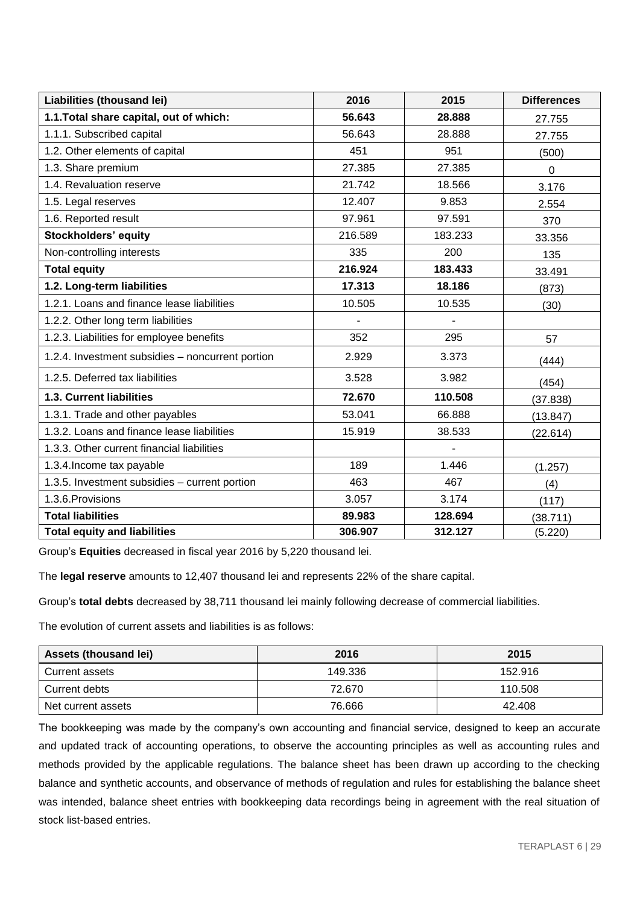| Liabilities (thousand lei)                       | 2016    | 2015           | <b>Differences</b> |
|--------------------------------------------------|---------|----------------|--------------------|
| 1.1. Total share capital, out of which:          | 56.643  | 28.888         | 27.755             |
| 1.1.1. Subscribed capital                        | 56.643  | 28.888         | 27.755             |
| 1.2. Other elements of capital                   | 451     | 951            | (500)              |
| 1.3. Share premium                               | 27.385  | 27.385         | 0                  |
| 1.4. Revaluation reserve                         | 21.742  | 18.566         | 3.176              |
| 1.5. Legal reserves                              | 12.407  | 9.853          | 2.554              |
| 1.6. Reported result                             | 97.961  | 97.591         | 370                |
| <b>Stockholders' equity</b>                      | 216.589 | 183.233        | 33.356             |
| Non-controlling interests                        | 335     | 200            | 135                |
| <b>Total equity</b>                              | 216.924 | 183.433        | 33.491             |
| 1.2. Long-term liabilities                       | 17.313  | 18.186         | (873)              |
| 1.2.1. Loans and finance lease liabilities       | 10.505  | 10.535         | (30)               |
| 1.2.2. Other long term liabilities               |         | $\overline{a}$ |                    |
| 1.2.3. Liabilities for employee benefits         | 352     | 295            | 57                 |
| 1.2.4. Investment subsidies - noncurrent portion | 2.929   | 3.373          | (444)              |
| 1.2.5. Deferred tax liabilities                  | 3.528   | 3.982          | (454)              |
| <b>1.3. Current liabilities</b>                  | 72.670  | 110.508        | (37.838)           |
| 1.3.1. Trade and other payables                  | 53.041  | 66.888         | (13.847)           |
| 1.3.2. Loans and finance lease liabilities       | 15.919  | 38.533         | (22.614)           |
| 1.3.3. Other current financial liabilities       |         | $\blacksquare$ |                    |
| 1.3.4. Income tax payable                        | 189     | 1.446          | (1.257)            |
| 1.3.5. Investment subsidies - current portion    | 463     | 467            | (4)                |
| 1.3.6. Provisions                                | 3.057   | 3.174          | (117)              |
| <b>Total liabilities</b>                         | 89.983  | 128.694        | (38.711)           |
| <b>Total equity and liabilities</b>              | 306.907 | 312.127        | (5.220)            |

Group's **Equities** decreased in fiscal year 2016 by 5,220 thousand lei.

The **legal reserve** amounts to 12,407 thousand lei and represents 22% of the share capital.

Group's **total debts** decreased by 38,711 thousand lei mainly following decrease of commercial liabilities.

The evolution of current assets and liabilities is as follows:

| Assets (thousand lei) | 2016    | 2015    |
|-----------------------|---------|---------|
| Current assets        | 149.336 | 152.916 |
| Current debts         | 72.670  | 110.508 |
| Net current assets    | 76.666  | 42.408  |

The bookkeeping was made by the company's own accounting and financial service, designed to keep an accurate and updated track of accounting operations, to observe the accounting principles as well as accounting rules and methods provided by the applicable regulations. The balance sheet has been drawn up according to the checking balance and synthetic accounts, and observance of methods of regulation and rules for establishing the balance sheet was intended, balance sheet entries with bookkeeping data recordings being in agreement with the real situation of stock list-based entries.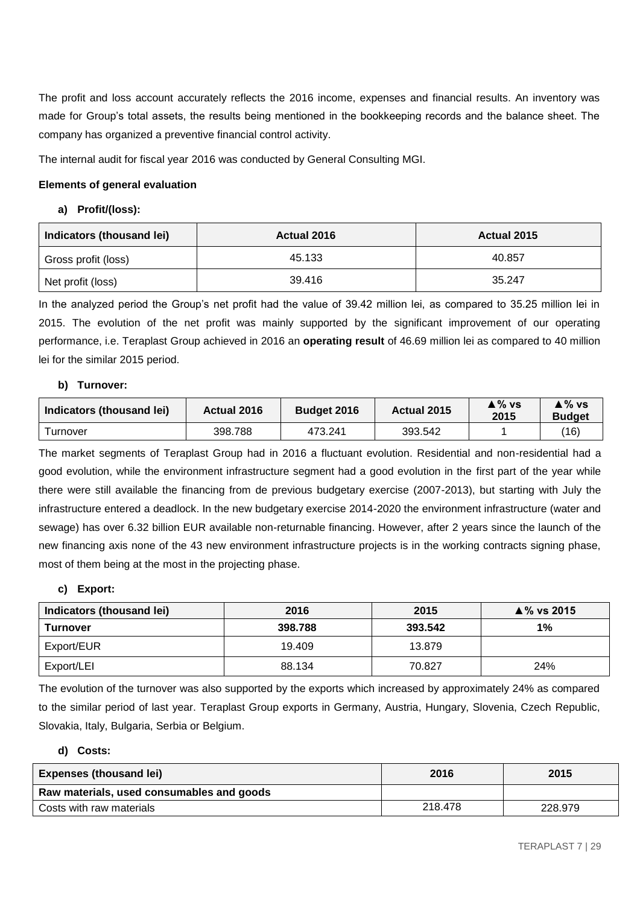The profit and loss account accurately reflects the 2016 income, expenses and financial results. An inventory was made for Group's total assets, the results being mentioned in the bookkeeping records and the balance sheet. The company has organized a preventive financial control activity.

The internal audit for fiscal year 2016 was conducted by General Consulting MGI.

## **Elements of general evaluation**

## **a) Profit/(loss):**

| Indicators (thousand lei) | Actual 2016 | Actual 2015 |
|---------------------------|-------------|-------------|
| Gross profit (loss)       | 45.133      | 40.857      |
| Net profit (loss)         | 39.416      | 35.247      |

In the analyzed period the Group's net profit had the value of 39.42 million lei, as compared to 35.25 million lei in 2015. The evolution of the net profit was mainly supported by the significant improvement of our operating performance, i.e. Teraplast Group achieved in 2016 an **operating result** of 46.69 million lei as compared to 40 million lei for the similar 2015 period.

## **b) Turnover:**

| Indicators (thousand lei) | <b>Actual 2016</b> | <b>Budget 2016</b> | Actual 2015 | ≜% vs<br>2015 | ≜% vs<br><b>Budget</b> |
|---------------------------|--------------------|--------------------|-------------|---------------|------------------------|
| urnover                   | 398.788            | 473.241            | 393.542     |               | (16)                   |

The market segments of Teraplast Group had in 2016 a fluctuant evolution. Residential and non-residential had a good evolution, while the environment infrastructure segment had a good evolution in the first part of the year while there were still available the financing from de previous budgetary exercise (2007-2013), but starting with July the infrastructure entered a deadlock. In the new budgetary exercise 2014-2020 the environment infrastructure (water and sewage) has over 6.32 billion EUR available non-returnable financing. However, after 2 years since the launch of the new financing axis none of the 43 new environment infrastructure projects is in the working contracts signing phase, most of them being at the most in the projecting phase.

## **c) Export:**

| Indicators (thousand lei) | 2016    | 2015    | $\blacktriangle$ % vs 2015 |
|---------------------------|---------|---------|----------------------------|
| <b>Turnover</b>           | 398.788 | 393.542 | $1\%$                      |
| Export/EUR                | 19.409  | 13.879  |                            |
| Export/LEI                | 88.134  | 70.827  | 24%                        |

The evolution of the turnover was also supported by the exports which increased by approximately 24% as compared to the similar period of last year. Teraplast Group exports in Germany, Austria, Hungary, Slovenia, Czech Republic, Slovakia, Italy, Bulgaria, Serbia or Belgium.

## **d) Costs:**

| <b>Expenses (thousand lei)</b>            | 2016    | 2015    |
|-------------------------------------------|---------|---------|
| Raw materials, used consumables and goods |         |         |
| Costs with raw materials                  | 218.478 | 228.979 |
|                                           |         |         |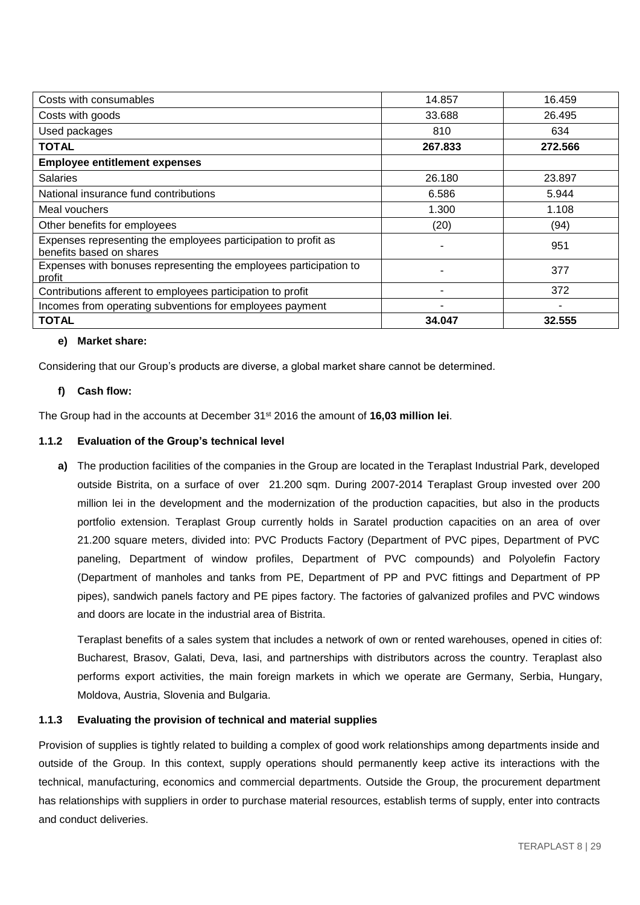| Costs with consumables                                                                     | 14.857  | 16.459  |
|--------------------------------------------------------------------------------------------|---------|---------|
| Costs with goods                                                                           | 33.688  | 26.495  |
| Used packages                                                                              | 810     | 634     |
| <b>TOTAL</b>                                                                               | 267.833 | 272.566 |
| <b>Employee entitlement expenses</b>                                                       |         |         |
| <b>Salaries</b>                                                                            | 26.180  | 23.897  |
| National insurance fund contributions                                                      | 6.586   | 5.944   |
| Meal vouchers                                                                              | 1.300   | 1.108   |
| Other benefits for employees                                                               | (20)    | (94)    |
| Expenses representing the employees participation to profit as<br>benefits based on shares |         | 951     |
| Expenses with bonuses representing the employees participation to<br>profit                |         | 377     |
| Contributions afferent to employees participation to profit                                |         | 372     |
| Incomes from operating subventions for employees payment                                   |         |         |
| <b>TOTAL</b>                                                                               | 34.047  | 32.555  |

## **e) Market share:**

Considering that our Group's products are diverse, a global market share cannot be determined.

## **f) Cash flow:**

The Group had in the accounts at December 31st 2016 the amount of **16,03 million lei**.

## **1.1.2 Evaluation of the Group's technical level**

**a)** The production facilities of the companies in the Group are located in the Teraplast Industrial Park, developed outside Bistrita, on a surface of over 21.200 sqm. During 2007-2014 Teraplast Group invested over 200 million lei in the development and the modernization of the production capacities, but also in the products portfolio extension. Teraplast Group currently holds in Saratel production capacities on an area of over 21.200 square meters, divided into: PVC Products Factory (Department of PVC pipes, Department of PVC paneling, Department of window profiles, Department of PVC compounds) and Polyolefin Factory (Department of manholes and tanks from PE, Department of PP and PVC fittings and Department of PP pipes), sandwich panels factory and PE pipes factory. The factories of galvanized profiles and PVC windows and doors are locate in the industrial area of Bistrita.

Teraplast benefits of a sales system that includes a network of own or rented warehouses, opened in cities of: Bucharest, Brasov, Galati, Deva, Iasi, and partnerships with distributors across the country. Teraplast also performs export activities, the main foreign markets in which we operate are Germany, Serbia, Hungary, Moldova, Austria, Slovenia and Bulgaria.

## **1.1.3 Evaluating the provision of technical and material supplies**

Provision of supplies is tightly related to building a complex of good work relationships among departments inside and outside of the Group. In this context, supply operations should permanently keep active its interactions with the technical, manufacturing, economics and commercial departments. Outside the Group, the procurement department has relationships with suppliers in order to purchase material resources, establish terms of supply, enter into contracts and conduct deliveries.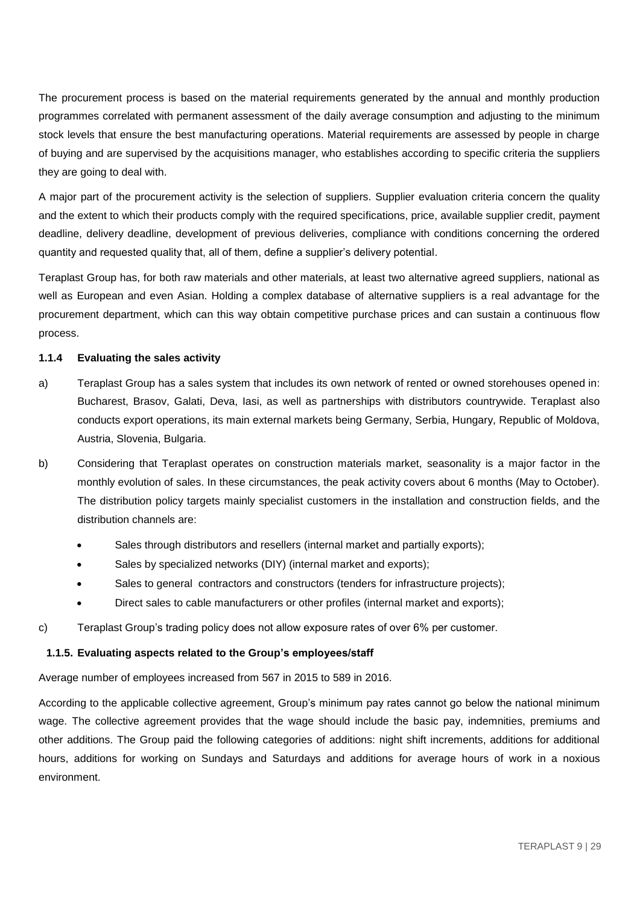The procurement process is based on the material requirements generated by the annual and monthly production programmes correlated with permanent assessment of the daily average consumption and adjusting to the minimum stock levels that ensure the best manufacturing operations. Material requirements are assessed by people in charge of buying and are supervised by the acquisitions manager, who establishes according to specific criteria the suppliers they are going to deal with.

A major part of the procurement activity is the selection of suppliers. Supplier evaluation criteria concern the quality and the extent to which their products comply with the required specifications, price, available supplier credit, payment deadline, delivery deadline, development of previous deliveries, compliance with conditions concerning the ordered quantity and requested quality that, all of them, define a supplier's delivery potential.

Teraplast Group has, for both raw materials and other materials, at least two alternative agreed suppliers, national as well as European and even Asian. Holding a complex database of alternative suppliers is a real advantage for the procurement department, which can this way obtain competitive purchase prices and can sustain a continuous flow process.

## **1.1.4 Evaluating the sales activity**

- a) Teraplast Group has a sales system that includes its own network of rented or owned storehouses opened in: Bucharest, Brasov, Galati, Deva, Iasi, as well as partnerships with distributors countrywide. Teraplast also conducts export operations, its main external markets being Germany, Serbia, Hungary, Republic of Moldova, Austria, Slovenia, Bulgaria.
- b) Considering that Teraplast operates on construction materials market, seasonality is a major factor in the monthly evolution of sales. In these circumstances, the peak activity covers about 6 months (May to October). The distribution policy targets mainly specialist customers in the installation and construction fields, and the distribution channels are:
	- Sales through distributors and resellers (internal market and partially exports);
	- Sales by specialized networks (DIY) (internal market and exports);
	- Sales to general contractors and constructors (tenders for infrastructure projects);
	- Direct sales to cable manufacturers or other profiles (internal market and exports);
- c) Teraplast Group's trading policy does not allow exposure rates of over 6% per customer.

### **1.1.5. Evaluating aspects related to the Group's employees/staff**

Average number of employees increased from 567 in 2015 to 589 in 2016.

According to the applicable collective agreement, Group's minimum pay rates cannot go below the national minimum wage. The collective agreement provides that the wage should include the basic pay, indemnities, premiums and other additions. The Group paid the following categories of additions: night shift increments, additions for additional hours, additions for working on Sundays and Saturdays and additions for average hours of work in a noxious environment.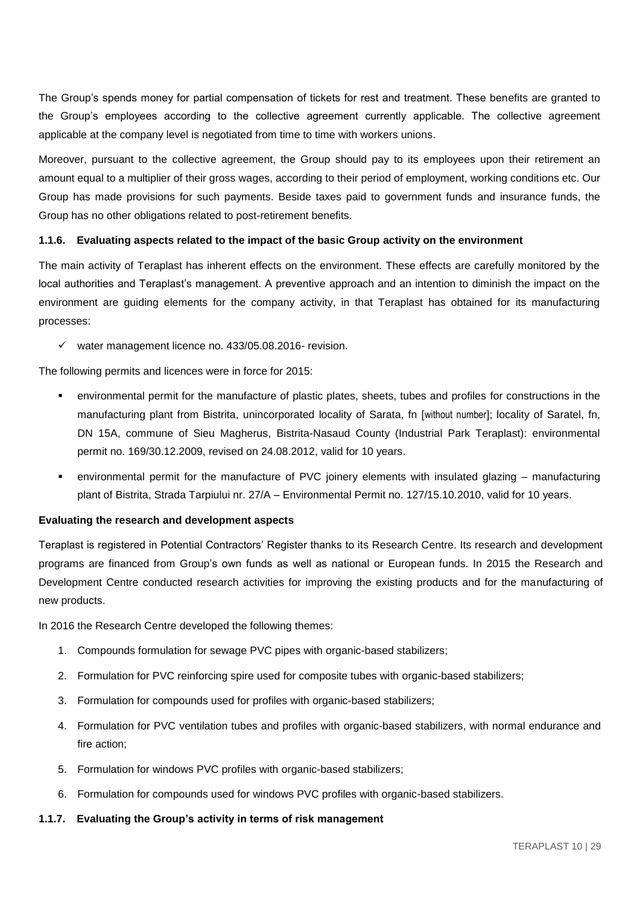The Group's spends money for partial compensation of tickets for rest and treatment. These benefits are granted to the Group's employees according to the collective agreement currently applicable. The collective agreement applicable at the company level is negotiated from time to time with workers unions.

Moreover, pursuant to the collective agreement, the Group should pay to its employees upon their retirement an amount equal to a multiplier of their gross wages, according to their period of employment, working conditions etc. Our Group has made provisions for such payments. Beside taxes paid to government funds and insurance funds, the Group has no other obligations related to post-retirement benefits.

## **1.1.6. Evaluating aspects related to the impact of the basic Group activity on the environment**

The main activity of Teraplast has inherent effects on the environment. These effects are carefully monitored by the local authorities and Teraplast's management. A preventive approach and an intention to diminish the impact on the environment are guiding elements for the company activity, in that Teraplast has obtained for its manufacturing processes:

 $\checkmark$  water management licence no. 433/05.08.2016- revision.

The following permits and licences were in force for 2015:

- environmental permit for the manufacture of plastic plates, sheets, tubes and profiles for constructions in the manufacturing plant from Bistrita, unincorporated locality of Sarata, fn [without number]; locality of Saratel, fn, DN 15A, commune of Sieu Magherus, Bistrita-Nasaud County (Industrial Park Teraplast): environmental permit no. 169/30.12.2009, revised on 24.08.2012, valid for 10 years.
- environmental permit for the manufacture of PVC joinery elements with insulated glazing manufacturing plant of Bistrita, Strada Tarpiului nr. 27/A – Environmental Permit no. 127/15.10.2010, valid for 10 years.

#### **Evaluating the research and development aspects**

Teraplast is registered in Potential Contractors' Register thanks to its Research Centre. Its research and development programs are financed from Group's own funds as well as national or European funds. In 2015 the Research and Development Centre conducted research activities for improving the existing products and for the manufacturing of new products.

In 2016 the Research Centre developed the following themes:

- 1. Compounds formulation for sewage PVC pipes with organic-based stabilizers;
- 2. Formulation for PVC reinforcing spire used for composite tubes with organic-based stabilizers;
- 3. Formulation for compounds used for profiles with organic-based stabilizers;
- 4. Formulation for PVC ventilation tubes and profiles with organic-based stabilizers, with normal endurance and fire action;
- 5. Formulation for windows PVC profiles with organic-based stabilizers;
- 6. Formulation for compounds used for windows PVC profiles with organic-based stabilizers.

#### **1.1.7. Evaluating the Group's activity in terms of risk management**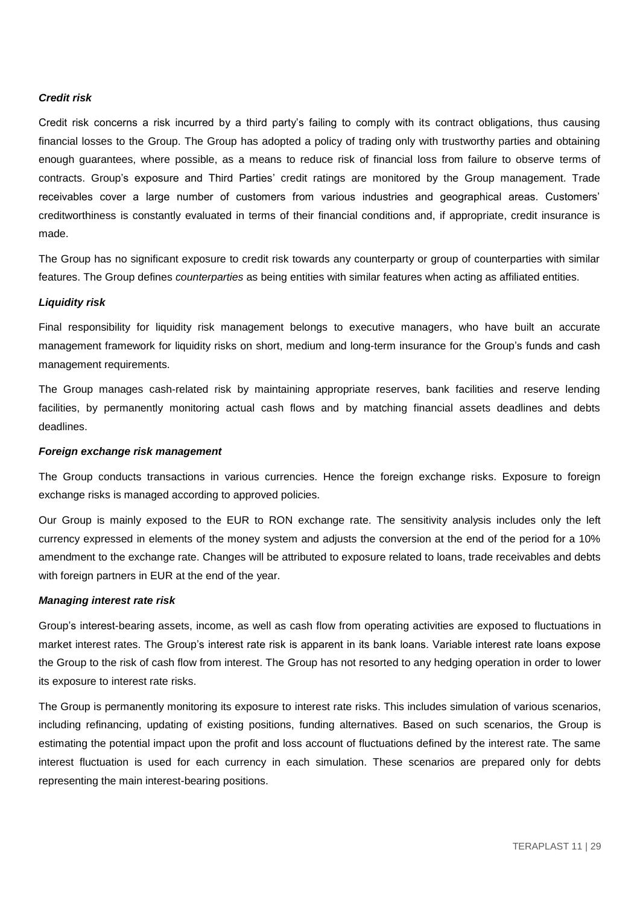## *Credit risk*

Credit risk concerns a risk incurred by a third party's failing to comply with its contract obligations, thus causing financial losses to the Group. The Group has adopted a policy of trading only with trustworthy parties and obtaining enough guarantees, where possible, as a means to reduce risk of financial loss from failure to observe terms of contracts. Group's exposure and Third Parties' credit ratings are monitored by the Group management. Trade receivables cover a large number of customers from various industries and geographical areas. Customers' creditworthiness is constantly evaluated in terms of their financial conditions and, if appropriate, credit insurance is made.

The Group has no significant exposure to credit risk towards any counterparty or group of counterparties with similar features. The Group defines *counterparties* as being entities with similar features when acting as affiliated entities.

## *Liquidity risk*

Final responsibility for liquidity risk management belongs to executive managers, who have built an accurate management framework for liquidity risks on short, medium and long-term insurance for the Group's funds and cash management requirements.

The Group manages cash-related risk by maintaining appropriate reserves, bank facilities and reserve lending facilities, by permanently monitoring actual cash flows and by matching financial assets deadlines and debts deadlines.

#### *Foreign exchange risk management*

The Group conducts transactions in various currencies. Hence the foreign exchange risks. Exposure to foreign exchange risks is managed according to approved policies.

Our Group is mainly exposed to the EUR to RON exchange rate. The sensitivity analysis includes only the left currency expressed in elements of the money system and adjusts the conversion at the end of the period for a 10% amendment to the exchange rate. Changes will be attributed to exposure related to loans, trade receivables and debts with foreign partners in EUR at the end of the year.

#### *Managing interest rate risk*

Group's interest-bearing assets, income, as well as cash flow from operating activities are exposed to fluctuations in market interest rates. The Group's interest rate risk is apparent in its bank loans. Variable interest rate loans expose the Group to the risk of cash flow from interest. The Group has not resorted to any hedging operation in order to lower its exposure to interest rate risks.

The Group is permanently monitoring its exposure to interest rate risks. This includes simulation of various scenarios, including refinancing, updating of existing positions, funding alternatives. Based on such scenarios, the Group is estimating the potential impact upon the profit and loss account of fluctuations defined by the interest rate. The same interest fluctuation is used for each currency in each simulation. These scenarios are prepared only for debts representing the main interest-bearing positions.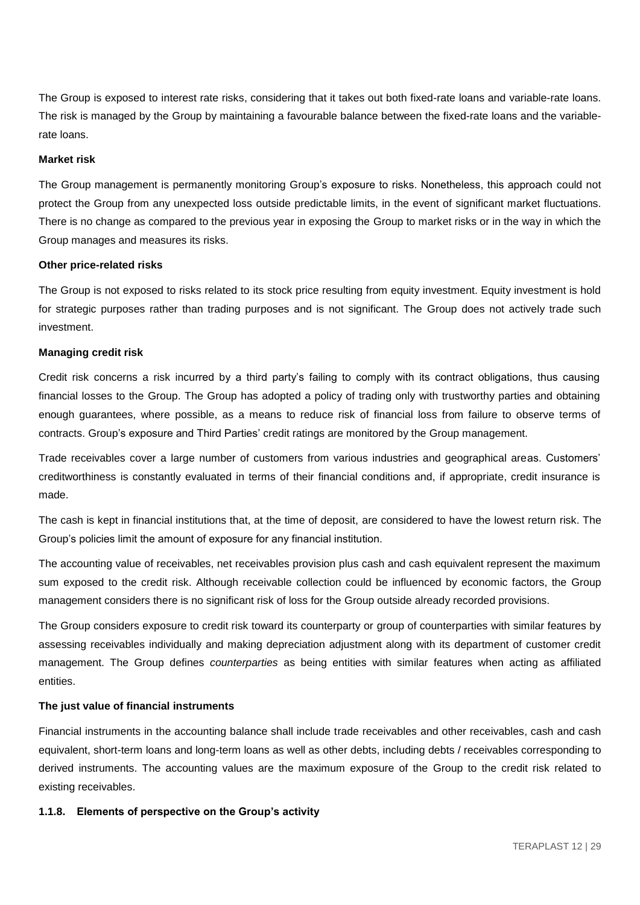The Group is exposed to interest rate risks, considering that it takes out both fixed-rate loans and variable-rate loans. The risk is managed by the Group by maintaining a favourable balance between the fixed-rate loans and the variablerate loans.

#### **Market risk**

The Group management is permanently monitoring Group's exposure to risks. Nonetheless, this approach could not protect the Group from any unexpected loss outside predictable limits, in the event of significant market fluctuations. There is no change as compared to the previous year in exposing the Group to market risks or in the way in which the Group manages and measures its risks.

#### **Other price-related risks**

The Group is not exposed to risks related to its stock price resulting from equity investment. Equity investment is hold for strategic purposes rather than trading purposes and is not significant. The Group does not actively trade such investment.

#### **Managing credit risk**

Credit risk concerns a risk incurred by a third party's failing to comply with its contract obligations, thus causing financial losses to the Group. The Group has adopted a policy of trading only with trustworthy parties and obtaining enough guarantees, where possible, as a means to reduce risk of financial loss from failure to observe terms of contracts. Group's exposure and Third Parties' credit ratings are monitored by the Group management.

Trade receivables cover a large number of customers from various industries and geographical areas. Customers' creditworthiness is constantly evaluated in terms of their financial conditions and, if appropriate, credit insurance is made.

The cash is kept in financial institutions that, at the time of deposit, are considered to have the lowest return risk. The Group's policies limit the amount of exposure for any financial institution.

The accounting value of receivables, net receivables provision plus cash and cash equivalent represent the maximum sum exposed to the credit risk. Although receivable collection could be influenced by economic factors, the Group management considers there is no significant risk of loss for the Group outside already recorded provisions.

The Group considers exposure to credit risk toward its counterparty or group of counterparties with similar features by assessing receivables individually and making depreciation adjustment along with its department of customer credit management. The Group defines *counterparties* as being entities with similar features when acting as affiliated entities.

## **The just value of financial instruments**

Financial instruments in the accounting balance shall include trade receivables and other receivables, cash and cash equivalent, short-term loans and long-term loans as well as other debts, including debts / receivables corresponding to derived instruments. The accounting values are the maximum exposure of the Group to the credit risk related to existing receivables.

#### **1.1.8. Elements of perspective on the Group's activity**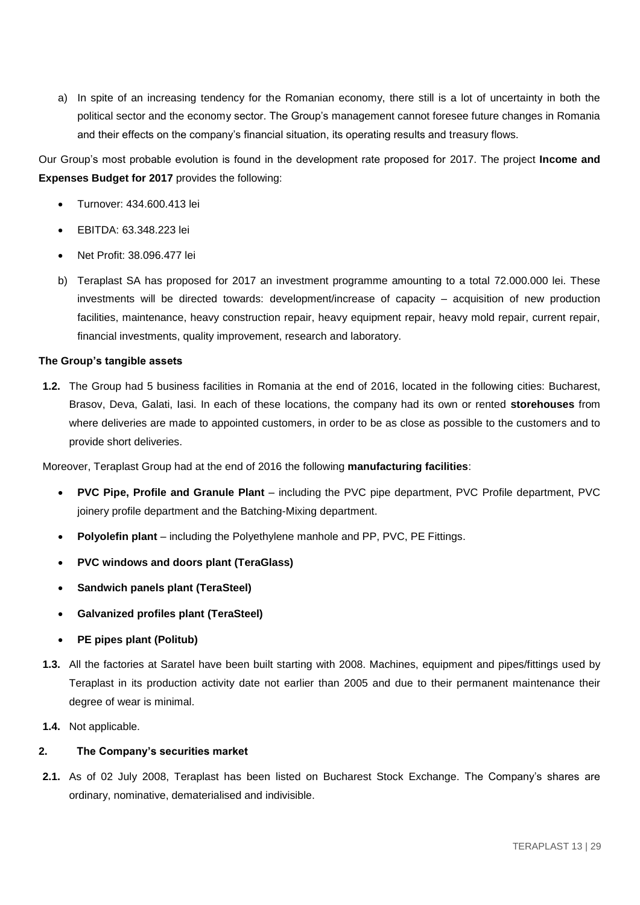a) In spite of an increasing tendency for the Romanian economy, there still is a lot of uncertainty in both the political sector and the economy sector. The Group's management cannot foresee future changes in Romania and their effects on the company's financial situation, its operating results and treasury flows.

Our Group's most probable evolution is found in the development rate proposed for 2017. The project **Income and Expenses Budget for 2017** provides the following:

- Turnover: 434.600.413 lei
- EBITDA: 63.348.223 lei
- Net Profit: 38.096.477 lei
- b) Teraplast SA has proposed for 2017 an investment programme amounting to a total 72.000.000 lei. These investments will be directed towards: development/increase of capacity – acquisition of new production facilities, maintenance, heavy construction repair, heavy equipment repair, heavy mold repair, current repair, financial investments, quality improvement, research and laboratory.

## **The Group's tangible assets**

**1.2.** The Group had 5 business facilities in Romania at the end of 2016, located in the following cities: Bucharest, Brasov, Deva, Galati, Iasi. In each of these locations, the company had its own or rented **storehouses** from where deliveries are made to appointed customers, in order to be as close as possible to the customers and to provide short deliveries.

Moreover, Teraplast Group had at the end of 2016 the following **manufacturing facilities**:

- **PVC Pipe, Profile and Granule Plant including the PVC pipe department, PVC Profile department, PVC** joinery profile department and the Batching-Mixing department.
- **Polyolefin plant** including the Polyethylene manhole and PP, PVC, PE Fittings.
- **PVC windows and doors plant (TeraGlass)**
- **Sandwich panels plant (TeraSteel)**
- **Galvanized profiles plant (TeraSteel)**
- **PE pipes plant (Politub)**
- **1.3.** All the factories at Saratel have been built starting with 2008. Machines, equipment and pipes/fittings used by Teraplast in its production activity date not earlier than 2005 and due to their permanent maintenance their degree of wear is minimal.
- **1.4.** Not applicable.

## **2. The Company's securities market**

**2.1.** As of 02 July 2008, Teraplast has been listed on Bucharest Stock Exchange. The Company's shares are ordinary, nominative, dematerialised and indivisible.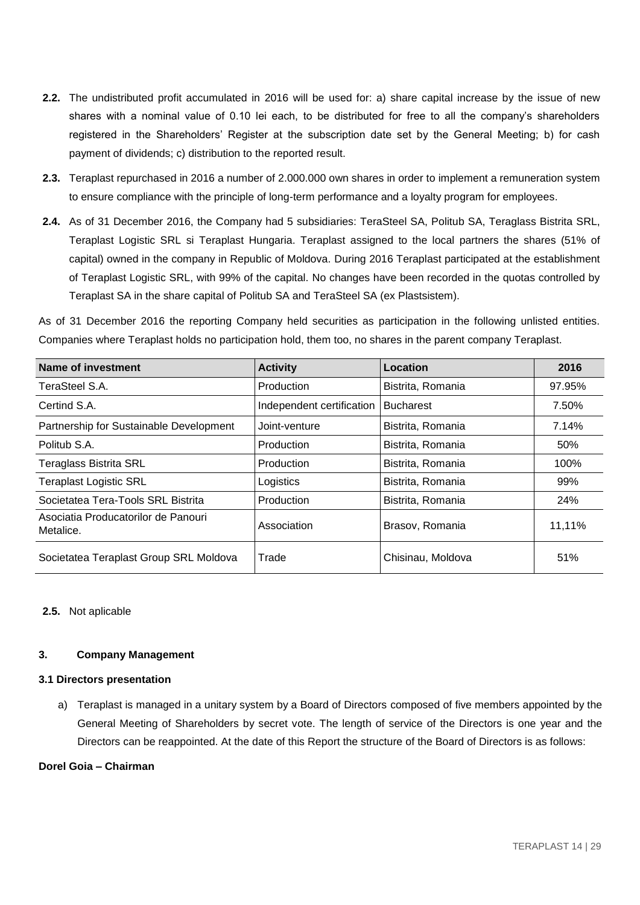- **2.2.** The undistributed profit accumulated in 2016 will be used for: a) share capital increase by the issue of new shares with a nominal value of 0.10 lei each, to be distributed for free to all the company's shareholders registered in the Shareholders' Register at the subscription date set by the General Meeting; b) for cash payment of dividends; c) distribution to the reported result.
- **2.3.** Teraplast repurchased in 2016 a number of 2.000.000 own shares in order to implement a remuneration system to ensure compliance with the principle of long-term performance and a loyalty program for employees.
- **2.4.** As of 31 December 2016, the Company had 5 subsidiaries: TeraSteel SA, Politub SA, Teraglass Bistrita SRL, Teraplast Logistic SRL si Teraplast Hungaria. Teraplast assigned to the local partners the shares (51% of capital) owned in the company in Republic of Moldova. During 2016 Teraplast participated at the establishment of Teraplast Logistic SRL, with 99% of the capital. No changes have been recorded in the quotas controlled by Teraplast SA in the share capital of Politub SA and TeraSteel SA (ex Plastsistem).

As of 31 December 2016 the reporting Company held securities as participation in the following unlisted entities. Companies where Teraplast holds no participation hold, them too, no shares in the parent company Teraplast.

| <b>Name of investment</b>                        | <b>Activity</b>           | Location          | 2016   |
|--------------------------------------------------|---------------------------|-------------------|--------|
| TeraSteel S.A.                                   | Production                | Bistrita, Romania | 97.95% |
| Certind S.A.                                     | Independent certification | <b>Bucharest</b>  | 7.50%  |
| Partnership for Sustainable Development          | Joint-venture             | Bistrita, Romania | 7.14%  |
| Politub S.A.                                     | Production                | Bistrita, Romania | 50%    |
| <b>Teraglass Bistrita SRL</b>                    | Production                | Bistrita, Romania | 100%   |
| <b>Teraplast Logistic SRL</b>                    | Logistics                 | Bistrita, Romania | 99%    |
| Societatea Tera-Tools SRL Bistrita               | Production                | Bistrita, Romania | 24%    |
| Asociatia Producatorilor de Panouri<br>Metalice. | Association               | Brasov, Romania   | 11,11% |
| Societatea Teraplast Group SRL Moldova           | Trade                     | Chisinau, Moldova | 51%    |

## **2.5.** Not aplicable

### **3. Company Management**

## **3.1 Directors presentation**

a) Teraplast is managed in a unitary system by a Board of Directors composed of five members appointed by the General Meeting of Shareholders by secret vote. The length of service of the Directors is one year and the Directors can be reappointed. At the date of this Report the structure of the Board of Directors is as follows:

### **Dorel Goia – Chairman**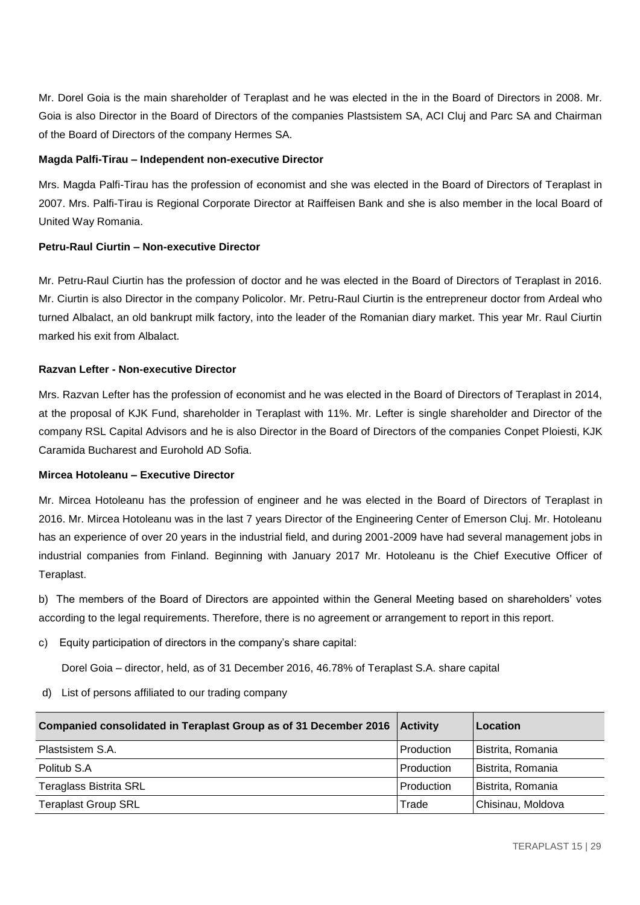Mr. Dorel Goia is the main shareholder of Teraplast and he was elected in the in the Board of Directors in 2008. Mr. Goia is also Director in the Board of Directors of the companies Plastsistem SA, ACI Cluj and Parc SA and Chairman of the Board of Directors of the company Hermes SA.

## **Magda Palfi-Tirau – Independent non-executive Director**

Mrs. Magda Palfi-Tirau has the profession of economist and she was elected in the Board of Directors of Teraplast in 2007. Mrs. Palfi-Tirau is Regional Corporate Director at Raiffeisen Bank and she is also member in the local Board of United Way Romania.

## **Petru-Raul Ciurtin – Non-executive Director**

Mr. Petru-Raul Ciurtin has the profession of doctor and he was elected in the Board of Directors of Teraplast in 2016. Mr. Ciurtin is also Director in the company Policolor. Mr. Petru-Raul Ciurtin is the entrepreneur doctor from Ardeal who turned Albalact, an old bankrupt milk factory, into the leader of the Romanian diary market. This year Mr. Raul Ciurtin marked his exit from Albalact.

## **Razvan Lefter - Non-executive Director**

Mrs. Razvan Lefter has the profession of economist and he was elected in the Board of Directors of Teraplast in 2014, at the proposal of KJK Fund, shareholder in Teraplast with 11%. Mr. Lefter is single shareholder and Director of the company RSL Capital Advisors and he is also Director in the Board of Directors of the companies Conpet Ploiesti, KJK Caramida Bucharest and Eurohold AD Sofia.

### **Mircea Hotoleanu – Executive Director**

Mr. Mircea Hotoleanu has the profession of engineer and he was elected in the Board of Directors of Teraplast in 2016. Mr. Mircea Hotoleanu was in the last 7 years Director of the Engineering Center of Emerson Cluj. Mr. Hotoleanu has an experience of over 20 years in the industrial field, and during 2001-2009 have had several management jobs in industrial companies from Finland. Beginning with January 2017 Mr. Hotoleanu is the Chief Executive Officer of Teraplast.

b) The members of the Board of Directors are appointed within the General Meeting based on shareholders' votes according to the legal requirements. Therefore, there is no agreement or arrangement to report in this report.

c) Equity participation of directors in the company's share capital:

Dorel Goia – director, held, as of 31 December 2016, 46.78% of Teraplast S.A. share capital

d) List of persons affiliated to our trading company

| Companied consolidated in Teraplast Group as of 31 December 2016   Activity |            | Location          |
|-----------------------------------------------------------------------------|------------|-------------------|
| Plastsistem S.A.                                                            | Production | Bistrita, Romania |
| Politub S.A                                                                 | Production | Bistrita, Romania |
| <b>Teraglass Bistrita SRL</b>                                               | Production | Bistrita, Romania |
| <b>Teraplast Group SRL</b>                                                  | Trade      | Chisinau, Moldova |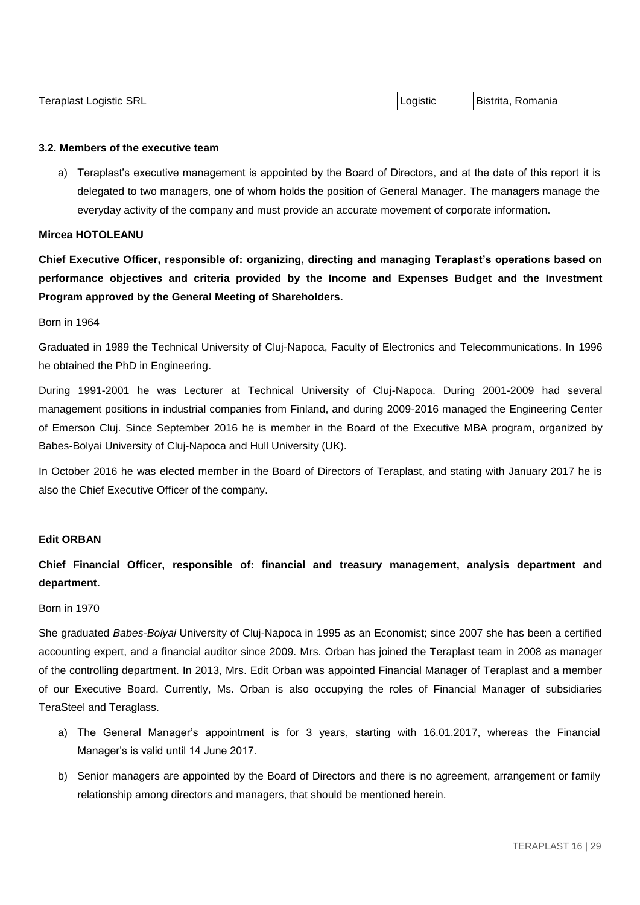| <b>Teraplast Logistic</b><br><b>SRL</b> | Loɑɪstɪc | Bistrita.<br>Romania |
|-----------------------------------------|----------|----------------------|
|-----------------------------------------|----------|----------------------|

### **3.2. Members of the executive team**

a) Teraplast's executive management is appointed by the Board of Directors, and at the date of this report it is delegated to two managers, one of whom holds the position of General Manager. The managers manage the everyday activity of the company and must provide an accurate movement of corporate information.

#### **Mircea HOTOLEANU**

**Chief Executive Officer, responsible of: organizing, directing and managing Teraplast's operations based on performance objectives and criteria provided by the Income and Expenses Budget and the Investment Program approved by the General Meeting of Shareholders.**

#### Born in 1964

Graduated in 1989 the Technical University of Cluj-Napoca, Faculty of Electronics and Telecommunications. In 1996 he obtained the PhD in Engineering.

During 1991-2001 he was Lecturer at Technical University of Cluj-Napoca. During 2001-2009 had several management positions in industrial companies from Finland, and during 2009-2016 managed the Engineering Center of Emerson Cluj. Since September 2016 he is member in the Board of the Executive MBA program, organized by Babes-Bolyai University of Cluj-Napoca and Hull University (UK).

In October 2016 he was elected member in the Board of Directors of Teraplast, and stating with January 2017 he is also the Chief Executive Officer of the company.

## **Edit ORBAN**

# **Chief Financial Officer, responsible of: financial and treasury management, analysis department and department.**

## Born in 1970

She graduated *Babes-Bolyai* University of Cluj-Napoca in 1995 as an Economist; since 2007 she has been a certified accounting expert, and a financial auditor since 2009. Mrs. Orban has joined the Teraplast team in 2008 as manager of the controlling department. In 2013, Mrs. Edit Orban was appointed Financial Manager of Teraplast and a member of our Executive Board. Currently, Ms. Orban is also occupying the roles of Financial Manager of subsidiaries TeraSteel and Teraglass.

- a) The General Manager's appointment is for 3 years, starting with 16.01.2017, whereas the Financial Manager's is valid until 14 June 2017.
- b) Senior managers are appointed by the Board of Directors and there is no agreement, arrangement or family relationship among directors and managers, that should be mentioned herein.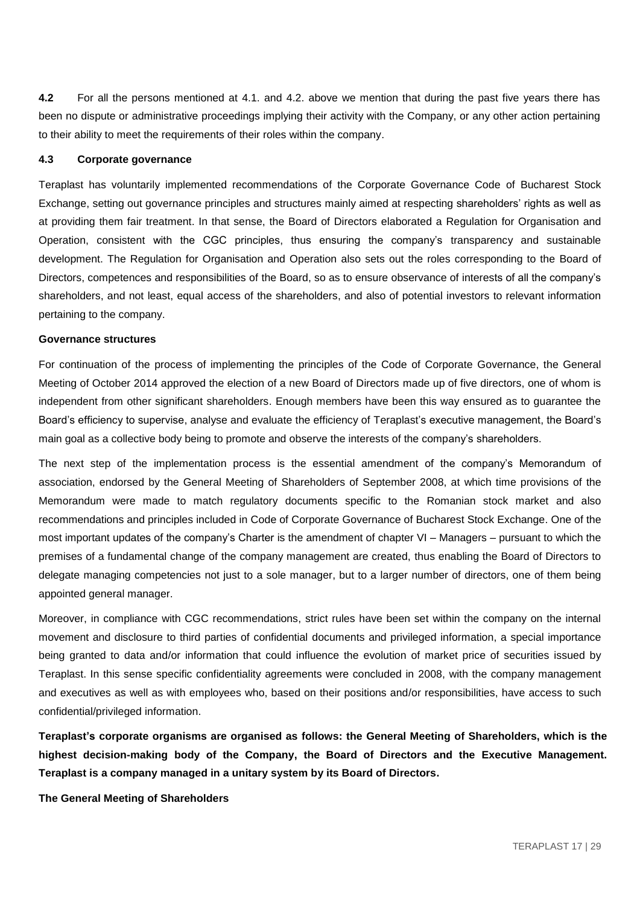**4.2** For all the persons mentioned at 4.1. and 4.2. above we mention that during the past five years there has been no dispute or administrative proceedings implying their activity with the Company, or any other action pertaining to their ability to meet the requirements of their roles within the company.

#### **4.3 Corporate governance**

Teraplast has voluntarily implemented recommendations of the Corporate Governance Code of Bucharest Stock Exchange, setting out governance principles and structures mainly aimed at respecting shareholders' rights as well as at providing them fair treatment. In that sense, the Board of Directors elaborated a Regulation for Organisation and Operation, consistent with the CGC principles, thus ensuring the company's transparency and sustainable development. The Regulation for Organisation and Operation also sets out the roles corresponding to the Board of Directors, competences and responsibilities of the Board, so as to ensure observance of interests of all the company's shareholders, and not least, equal access of the shareholders, and also of potential investors to relevant information pertaining to the company.

### **Governance structures**

For continuation of the process of implementing the principles of the Code of Corporate Governance, the General Meeting of October 2014 approved the election of a new Board of Directors made up of five directors, one of whom is independent from other significant shareholders. Enough members have been this way ensured as to guarantee the Board's efficiency to supervise, analyse and evaluate the efficiency of Teraplast's executive management, the Board's main goal as a collective body being to promote and observe the interests of the company's shareholders.

The next step of the implementation process is the essential amendment of the company's Memorandum of association, endorsed by the General Meeting of Shareholders of September 2008, at which time provisions of the Memorandum were made to match regulatory documents specific to the Romanian stock market and also recommendations and principles included in Code of Corporate Governance of Bucharest Stock Exchange. One of the most important updates of the company's Charter is the amendment of chapter VI – Managers – pursuant to which the premises of a fundamental change of the company management are created, thus enabling the Board of Directors to delegate managing competencies not just to a sole manager, but to a larger number of directors, one of them being appointed general manager.

Moreover, in compliance with CGC recommendations, strict rules have been set within the company on the internal movement and disclosure to third parties of confidential documents and privileged information, a special importance being granted to data and/or information that could influence the evolution of market price of securities issued by Teraplast. In this sense specific confidentiality agreements were concluded in 2008, with the company management and executives as well as with employees who, based on their positions and/or responsibilities, have access to such confidential/privileged information.

**Teraplast's corporate organisms are organised as follows: the General Meeting of Shareholders, which is the highest decision-making body of the Company, the Board of Directors and the Executive Management. Teraplast is a company managed in a unitary system by its Board of Directors.**

**The General Meeting of Shareholders**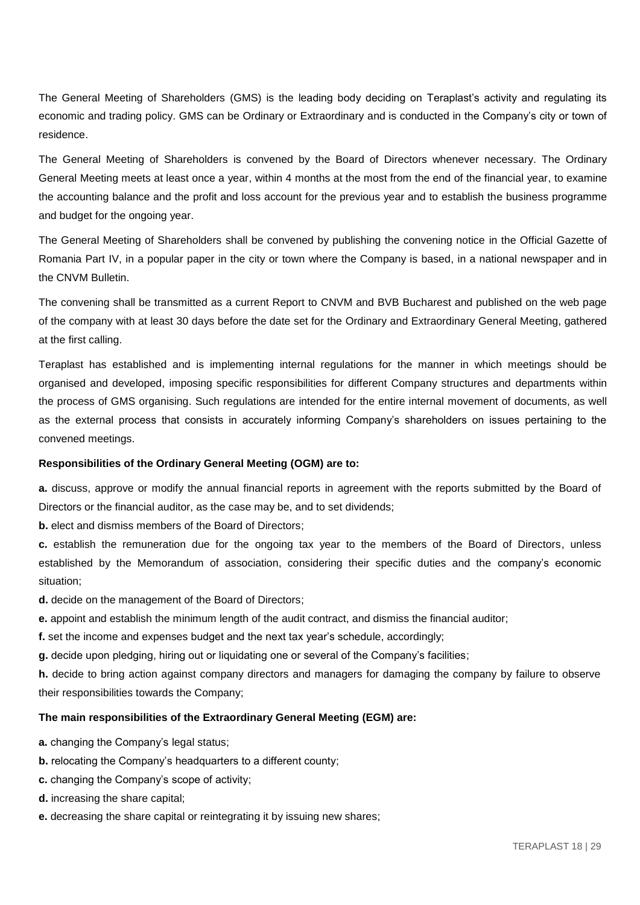The General Meeting of Shareholders (GMS) is the leading body deciding on Teraplast's activity and regulating its economic and trading policy. GMS can be Ordinary or Extraordinary and is conducted in the Company's city or town of residence.

The General Meeting of Shareholders is convened by the Board of Directors whenever necessary. The Ordinary General Meeting meets at least once a year, within 4 months at the most from the end of the financial year, to examine the accounting balance and the profit and loss account for the previous year and to establish the business programme and budget for the ongoing year.

The General Meeting of Shareholders shall be convened by publishing the convening notice in the Official Gazette of Romania Part IV, in a popular paper in the city or town where the Company is based, in a national newspaper and in the CNVM Bulletin.

The convening shall be transmitted as a current Report to CNVM and BVB Bucharest and published on the web page of the company with at least 30 days before the date set for the Ordinary and Extraordinary General Meeting, gathered at the first calling.

Teraplast has established and is implementing internal regulations for the manner in which meetings should be organised and developed, imposing specific responsibilities for different Company structures and departments within the process of GMS organising. Such regulations are intended for the entire internal movement of documents, as well as the external process that consists in accurately informing Company's shareholders on issues pertaining to the convened meetings.

### **Responsibilities of the Ordinary General Meeting (OGM) are to:**

**a.** discuss, approve or modify the annual financial reports in agreement with the reports submitted by the Board of Directors or the financial auditor, as the case may be, and to set dividends;

**b.** elect and dismiss members of the Board of Directors:

**c.** establish the remuneration due for the ongoing tax year to the members of the Board of Directors, unless established by the Memorandum of association, considering their specific duties and the company's economic situation;

- **d.** decide on the management of the Board of Directors;
- **e.** appoint and establish the minimum length of the audit contract, and dismiss the financial auditor;

**f.** set the income and expenses budget and the next tax year's schedule, accordingly;

**g.** decide upon pledging, hiring out or liquidating one or several of the Company's facilities;

**h.** decide to bring action against company directors and managers for damaging the company by failure to observe their responsibilities towards the Company;

### **The main responsibilities of the Extraordinary General Meeting (EGM) are:**

**a.** changing the Company's legal status;

- **b.** relocating the Company's headquarters to a different county;
- **c.** changing the Company's scope of activity;
- **d.** increasing the share capital;
- **e.** decreasing the share capital or reintegrating it by issuing new shares;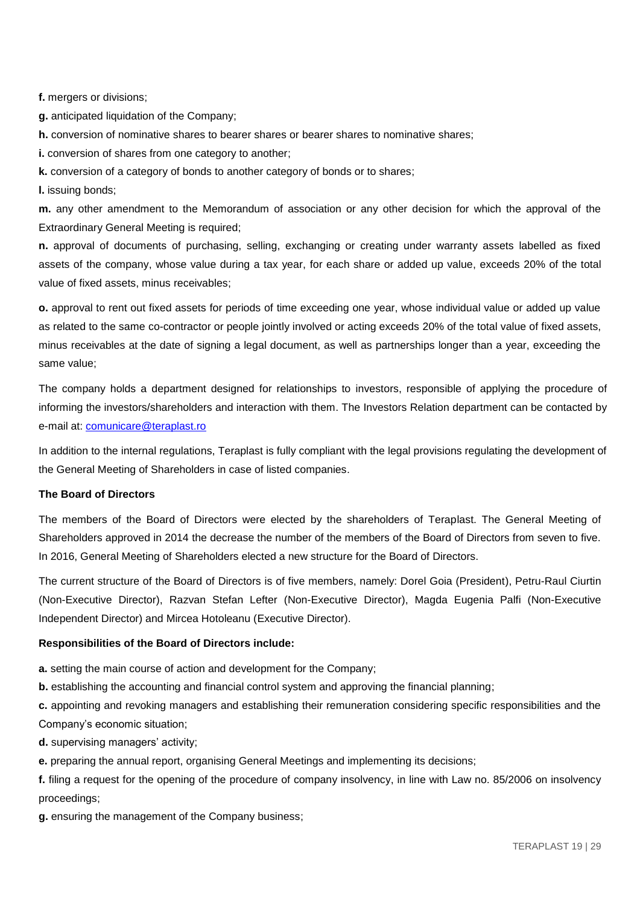**f.** mergers or divisions;

**g.** anticipated liquidation of the Company;

**h.** conversion of nominative shares to bearer shares or bearer shares to nominative shares;

**i.** conversion of shares from one category to another;

**k.** conversion of a category of bonds to another category of bonds or to shares;

**l.** issuing bonds;

**m.** any other amendment to the Memorandum of association or any other decision for which the approval of the Extraordinary General Meeting is required;

**n.** approval of documents of purchasing, selling, exchanging or creating under warranty assets labelled as fixed assets of the company, whose value during a tax year, for each share or added up value, exceeds 20% of the total value of fixed assets, minus receivables;

**o.** approval to rent out fixed assets for periods of time exceeding one year, whose individual value or added up value as related to the same co-contractor or people jointly involved or acting exceeds 20% of the total value of fixed assets, minus receivables at the date of signing a legal document, as well as partnerships longer than a year, exceeding the same value;

The company holds a department designed for relationships to investors, responsible of applying the procedure of informing the investors/shareholders and interaction with them. The Investors Relation department can be contacted by e-mail at: [comunicare@teraplast.ro](mailto:comunicare@teraplast.ro)

In addition to the internal regulations, Teraplast is fully compliant with the legal provisions regulating the development of the General Meeting of Shareholders in case of listed companies.

## **The Board of Directors**

The members of the Board of Directors were elected by the shareholders of Teraplast. The General Meeting of Shareholders approved in 2014 the decrease the number of the members of the Board of Directors from seven to five. In 2016, General Meeting of Shareholders elected a new structure for the Board of Directors.

The current structure of the Board of Directors is of five members, namely: Dorel Goia (President), Petru-Raul Ciurtin (Non-Executive Director), Razvan Stefan Lefter (Non-Executive Director), Magda Eugenia Palfi (Non-Executive Independent Director) and Mircea Hotoleanu (Executive Director).

### **Responsibilities of the Board of Directors include:**

**a.** setting the main course of action and development for the Company;

**b.** establishing the accounting and financial control system and approving the financial planning;

**c.** appointing and revoking managers and establishing their remuneration considering specific responsibilities and the Company's economic situation;

**d.** supervising managers' activity;

**e.** preparing the annual report, organising General Meetings and implementing its decisions;

**f.** filing a request for the opening of the procedure of company insolvency, in line with Law no. 85/2006 on insolvency proceedings;

**g.** ensuring the management of the Company business;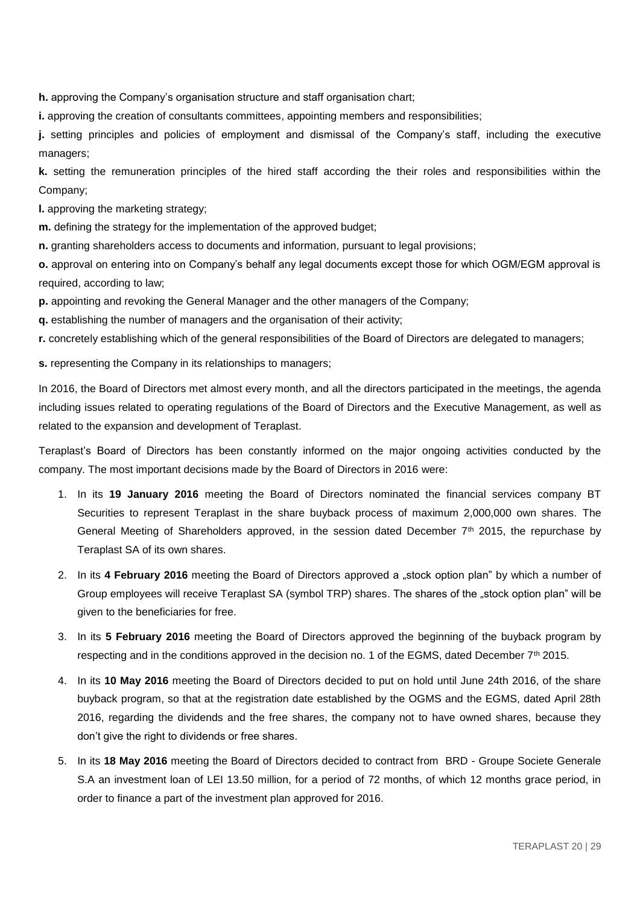**h.** approving the Company's organisation structure and staff organisation chart;

**i.** approving the creation of consultants committees, appointing members and responsibilities;

**j.** setting principles and policies of employment and dismissal of the Company's staff, including the executive managers;

**k.** setting the remuneration principles of the hired staff according the their roles and responsibilities within the Company;

**l.** approving the marketing strategy;

**m.** defining the strategy for the implementation of the approved budget;

**n.** granting shareholders access to documents and information, pursuant to legal provisions;

**o.** approval on entering into on Company's behalf any legal documents except those for which OGM/EGM approval is required, according to law;

**p.** appointing and revoking the General Manager and the other managers of the Company;

**q.** establishing the number of managers and the organisation of their activity;

**r.** concretely establishing which of the general responsibilities of the Board of Directors are delegated to managers;

**s.** representing the Company in its relationships to managers;

In 2016, the Board of Directors met almost every month, and all the directors participated in the meetings, the agenda including issues related to operating regulations of the Board of Directors and the Executive Management, as well as related to the expansion and development of Teraplast.

Teraplast's Board of Directors has been constantly informed on the major ongoing activities conducted by the company. The most important decisions made by the Board of Directors in 2016 were:

- 1. In its **19 January 2016** meeting the Board of Directors nominated the financial services company BT Securities to represent Teraplast in the share buyback process of maximum 2,000,000 own shares. The General Meeting of Shareholders approved, in the session dated December 7<sup>th</sup> 2015, the repurchase by Teraplast SA of its own shares.
- 2. In its 4 February 2016 meeting the Board of Directors approved a "stock option plan" by which a number of Group employees will receive Teraplast SA (symbol TRP) shares. The shares of the "stock option plan" will be given to the beneficiaries for free.
- 3. In its **5 February 2016** meeting the Board of Directors approved the beginning of the buyback program by respecting and in the conditions approved in the decision no. 1 of the EGMS, dated December  $7<sup>th</sup>$  2015.
- 4. In its **10 May 2016** meeting the Board of Directors decided to put on hold until June 24th 2016, of the share buyback program, so that at the registration date established by the OGMS and the EGMS, dated April 28th 2016, regarding the dividends and the free shares, the company not to have owned shares, because they don't give the right to dividends or free shares.
- 5. In its **18 May 2016** meeting the Board of Directors decided to contract from BRD Groupe Societe Generale S.A an investment loan of LEI 13.50 million, for a period of 72 months, of which 12 months grace period, in order to finance a part of the investment plan approved for 2016.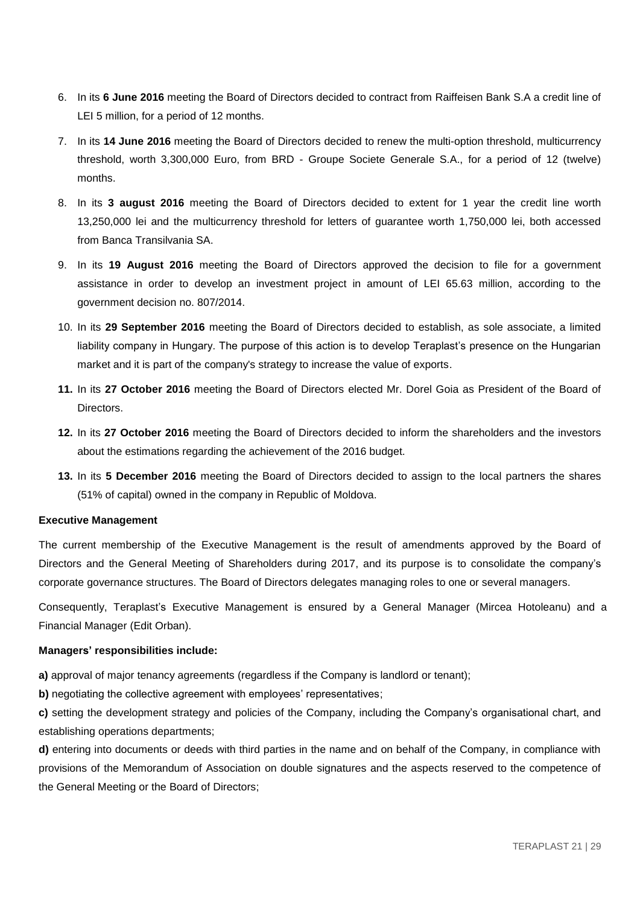- 6. In its **6 June 2016** meeting the Board of Directors decided to contract from Raiffeisen Bank S.A a credit line of LEI 5 million, for a period of 12 months.
- 7. In its **14 June 2016** meeting the Board of Directors decided to renew the multi-option threshold, multicurrency threshold, worth 3,300,000 Euro, from BRD - Groupe Societe Generale S.A., for a period of 12 (twelve) months.
- 8. In its **3 august 2016** meeting the Board of Directors decided to extent for 1 year the credit line worth 13,250,000 lei and the multicurrency threshold for letters of guarantee worth 1,750,000 lei, both accessed from Banca Transilvania SA.
- 9. In its **19 August 2016** meeting the Board of Directors approved the decision to file for a government assistance in order to develop an investment project in amount of LEI 65.63 million, according to the government decision no. 807/2014.
- 10. In its **29 September 2016** meeting the Board of Directors decided to establish, as sole associate, a limited liability company in Hungary. The purpose of this action is to develop Teraplast's presence on the Hungarian market and it is part of the company's strategy to increase the value of exports.
- **11.** In its **27 October 2016** meeting the Board of Directors elected Mr. Dorel Goia as President of the Board of **Directors**
- **12.** In its **27 October 2016** meeting the Board of Directors decided to inform the shareholders and the investors about the estimations regarding the achievement of the 2016 budget.
- **13.** In its **5 December 2016** meeting the Board of Directors decided to assign to the local partners the shares (51% of capital) owned in the company in Republic of Moldova.

## **Executive Management**

The current membership of the Executive Management is the result of amendments approved by the Board of Directors and the General Meeting of Shareholders during 2017, and its purpose is to consolidate the company's corporate governance structures. The Board of Directors delegates managing roles to one or several managers.

Consequently, Teraplast's Executive Management is ensured by a General Manager (Mircea Hotoleanu) and a Financial Manager (Edit Orban).

### **Managers' responsibilities include:**

**a)** approval of major tenancy agreements (regardless if the Company is landlord or tenant);

**b)** negotiating the collective agreement with employees' representatives;

**c)** setting the development strategy and policies of the Company, including the Company's organisational chart, and establishing operations departments;

**d)** entering into documents or deeds with third parties in the name and on behalf of the Company, in compliance with provisions of the Memorandum of Association on double signatures and the aspects reserved to the competence of the General Meeting or the Board of Directors;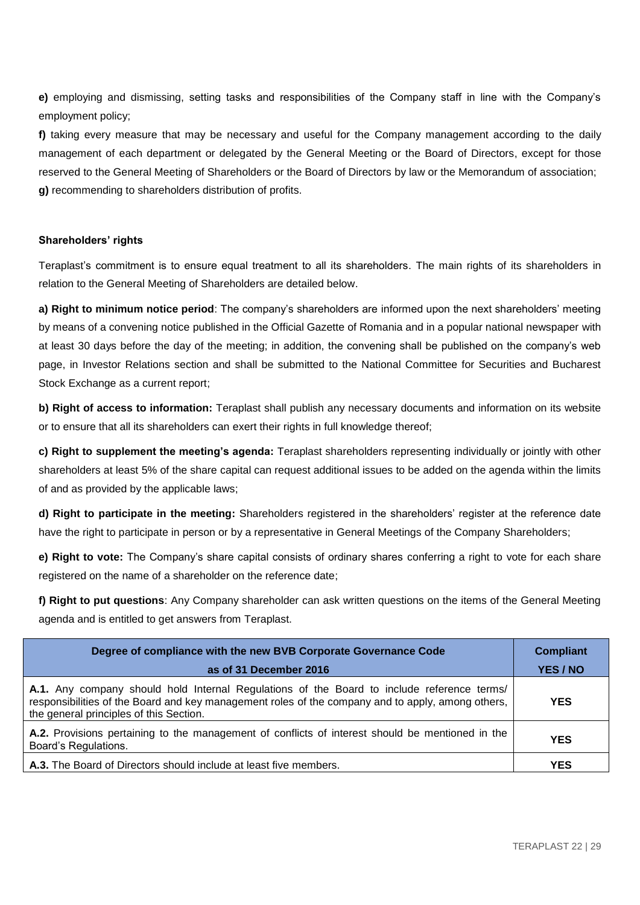**e)** employing and dismissing, setting tasks and responsibilities of the Company staff in line with the Company's employment policy;

**f)** taking every measure that may be necessary and useful for the Company management according to the daily management of each department or delegated by the General Meeting or the Board of Directors, except for those reserved to the General Meeting of Shareholders or the Board of Directors by law or the Memorandum of association; **g)** recommending to shareholders distribution of profits.

## **Shareholders' rights**

Teraplast's commitment is to ensure equal treatment to all its shareholders. The main rights of its shareholders in relation to the General Meeting of Shareholders are detailed below.

**a) Right to minimum notice period**: The company's shareholders are informed upon the next shareholders' meeting by means of a convening notice published in the Official Gazette of Romania and in a popular national newspaper with at least 30 days before the day of the meeting; in addition, the convening shall be published on the company's web page, in Investor Relations section and shall be submitted to the National Committee for Securities and Bucharest Stock Exchange as a current report;

**b) Right of access to information:** Teraplast shall publish any necessary documents and information on its website or to ensure that all its shareholders can exert their rights in full knowledge thereof;

**c) Right to supplement the meeting's agenda:** Teraplast shareholders representing individually or jointly with other shareholders at least 5% of the share capital can request additional issues to be added on the agenda within the limits of and as provided by the applicable laws;

**d) Right to participate in the meeting:** Shareholders registered in the shareholders' register at the reference date have the right to participate in person or by a representative in General Meetings of the Company Shareholders;

**e) Right to vote:** The Company's share capital consists of ordinary shares conferring a right to vote for each share registered on the name of a shareholder on the reference date;

**f) Right to put questions**: Any Company shareholder can ask written questions on the items of the General Meeting agenda and is entitled to get answers from Teraplast.

| Degree of compliance with the new BVB Corporate Governance Code<br>as of 31 December 2016                                                                                                                                                  | <b>Compliant</b><br>YES / NO |
|--------------------------------------------------------------------------------------------------------------------------------------------------------------------------------------------------------------------------------------------|------------------------------|
| A.1. Any company should hold Internal Regulations of the Board to include reference terms/<br>responsibilities of the Board and key management roles of the company and to apply, among others,<br>the general principles of this Section. | <b>YES</b>                   |
| A.2. Provisions pertaining to the management of conflicts of interest should be mentioned in the<br>Board's Regulations.                                                                                                                   | <b>YES</b>                   |
| A.3. The Board of Directors should include at least five members.                                                                                                                                                                          | <b>YES</b>                   |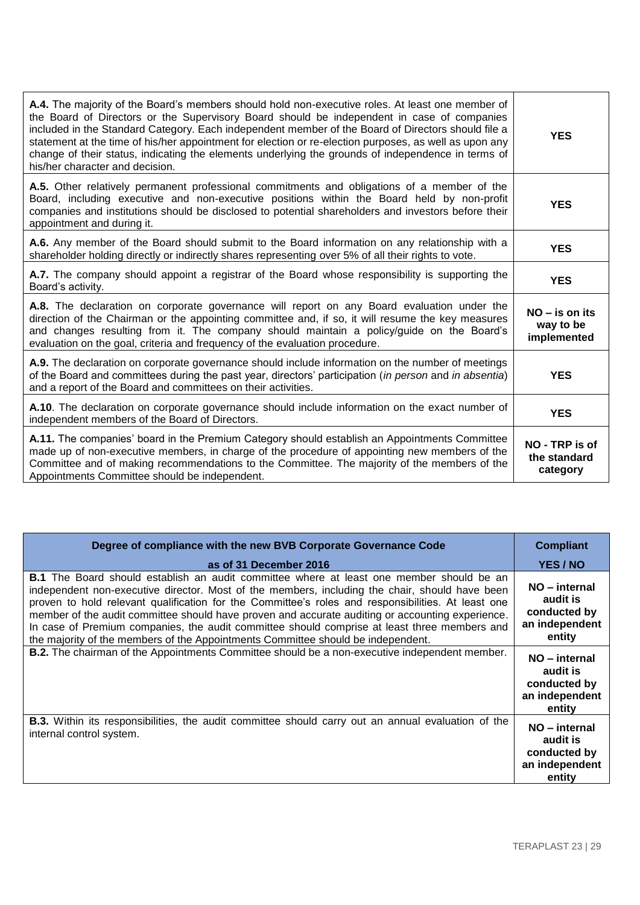| A.4. The majority of the Board's members should hold non-executive roles. At least one member of<br>the Board of Directors or the Supervisory Board should be independent in case of companies<br>included in the Standard Category. Each independent member of the Board of Directors should file a<br>statement at the time of his/her appointment for election or re-election purposes, as well as upon any<br>change of their status, indicating the elements underlying the grounds of independence in terms of<br>his/her character and decision. | <b>YES</b>                                   |
|---------------------------------------------------------------------------------------------------------------------------------------------------------------------------------------------------------------------------------------------------------------------------------------------------------------------------------------------------------------------------------------------------------------------------------------------------------------------------------------------------------------------------------------------------------|----------------------------------------------|
| A.5. Other relatively permanent professional commitments and obligations of a member of the<br>Board, including executive and non-executive positions within the Board held by non-profit<br>companies and institutions should be disclosed to potential shareholders and investors before their<br>appointment and during it.                                                                                                                                                                                                                          | <b>YES</b>                                   |
| A.6. Any member of the Board should submit to the Board information on any relationship with a<br>shareholder holding directly or indirectly shares representing over 5% of all their rights to vote.                                                                                                                                                                                                                                                                                                                                                   | <b>YES</b>                                   |
| A.7. The company should appoint a registrar of the Board whose responsibility is supporting the<br>Board's activity.                                                                                                                                                                                                                                                                                                                                                                                                                                    | <b>YES</b>                                   |
| A.8. The declaration on corporate governance will report on any Board evaluation under the<br>direction of the Chairman or the appointing committee and, if so, it will resume the key measures<br>and changes resulting from it. The company should maintain a policy/guide on the Board's<br>evaluation on the goal, criteria and frequency of the evaluation procedure.                                                                                                                                                                              | $NO - is$ on its<br>way to be<br>implemented |
| A.9. The declaration on corporate governance should include information on the number of meetings<br>of the Board and committees during the past year, directors' participation (in person and in absentia)<br>and a report of the Board and committees on their activities.                                                                                                                                                                                                                                                                            | <b>YES</b>                                   |
| A.10. The declaration on corporate governance should include information on the exact number of<br>independent members of the Board of Directors.                                                                                                                                                                                                                                                                                                                                                                                                       | <b>YES</b>                                   |
| A.11. The companies' board in the Premium Category should establish an Appointments Committee<br>made up of non-executive members, in charge of the procedure of appointing new members of the<br>Committee and of making recommendations to the Committee. The majority of the members of the<br>Appointments Committee should be independent.                                                                                                                                                                                                         | NO - TRP is of<br>the standard<br>category   |

| Degree of compliance with the new BVB Corporate Governance Code                                                                                                                                                                                                                                                                                                                                                                                                                                                                                                                                 | <b>Compliant</b>                                                      |
|-------------------------------------------------------------------------------------------------------------------------------------------------------------------------------------------------------------------------------------------------------------------------------------------------------------------------------------------------------------------------------------------------------------------------------------------------------------------------------------------------------------------------------------------------------------------------------------------------|-----------------------------------------------------------------------|
| as of 31 December 2016                                                                                                                                                                                                                                                                                                                                                                                                                                                                                                                                                                          | YES / NO                                                              |
| <b>B.1</b> The Board should establish an audit committee where at least one member should be an<br>independent non-executive director. Most of the members, including the chair, should have been<br>proven to hold relevant qualification for the Committee's roles and responsibilities. At least one<br>member of the audit committee should have proven and accurate auditing or accounting experience.<br>In case of Premium companies, the audit committee should comprise at least three members and<br>the majority of the members of the Appointments Committee should be independent. | NO - internal<br>audit is<br>conducted by<br>an independent<br>entity |
| <b>B.2.</b> The chairman of the Appointments Committee should be a non-executive independent member.                                                                                                                                                                                                                                                                                                                                                                                                                                                                                            | NO – internal<br>audit is<br>conducted by<br>an independent<br>entity |
| <b>B.3.</b> Within its responsibilities, the audit committee should carry out an annual evaluation of the<br>internal control system.                                                                                                                                                                                                                                                                                                                                                                                                                                                           | NO – internal<br>audit is<br>conducted by<br>an independent<br>entity |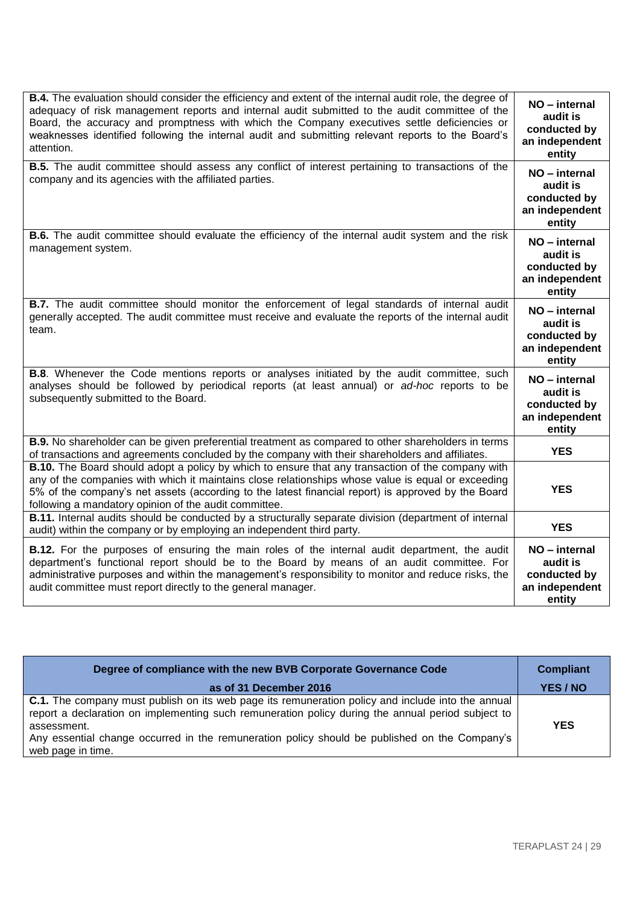| <b>B.4.</b> The evaluation should consider the efficiency and extent of the internal audit role, the degree of<br>adequacy of risk management reports and internal audit submitted to the audit committee of the<br>Board, the accuracy and promptness with which the Company executives settle deficiencies or<br>weaknesses identified following the internal audit and submitting relevant reports to the Board's<br>attention. | NO - internal<br>audit is<br>conducted by<br>an independent<br>entity |
|------------------------------------------------------------------------------------------------------------------------------------------------------------------------------------------------------------------------------------------------------------------------------------------------------------------------------------------------------------------------------------------------------------------------------------|-----------------------------------------------------------------------|
| <b>B.5.</b> The audit committee should assess any conflict of interest pertaining to transactions of the<br>company and its agencies with the affiliated parties.                                                                                                                                                                                                                                                                  | NO - internal<br>audit is<br>conducted by<br>an independent<br>entity |
| <b>B.6.</b> The audit committee should evaluate the efficiency of the internal audit system and the risk<br>management system.                                                                                                                                                                                                                                                                                                     | NO - internal<br>audit is<br>conducted by<br>an independent<br>entity |
| <b>B.7.</b> The audit committee should monitor the enforcement of legal standards of internal audit<br>generally accepted. The audit committee must receive and evaluate the reports of the internal audit<br>team.                                                                                                                                                                                                                | NO - internal<br>audit is<br>conducted by<br>an independent<br>entity |
| <b>B.8.</b> Whenever the Code mentions reports or analyses initiated by the audit committee, such<br>analyses should be followed by periodical reports (at least annual) or ad-hoc reports to be<br>subsequently submitted to the Board.                                                                                                                                                                                           | NO - internal<br>audit is<br>conducted by<br>an independent<br>entity |
| <b>B.9.</b> No shareholder can be given preferential treatment as compared to other shareholders in terms<br>of transactions and agreements concluded by the company with their shareholders and affiliates.                                                                                                                                                                                                                       | <b>YES</b>                                                            |
| <b>B.10.</b> The Board should adopt a policy by which to ensure that any transaction of the company with<br>any of the companies with which it maintains close relationships whose value is equal or exceeding<br>5% of the company's net assets (according to the latest financial report) is approved by the Board<br>following a mandatory opinion of the audit committee.                                                      | <b>YES</b>                                                            |
| B.11. Internal audits should be conducted by a structurally separate division (department of internal<br>audit) within the company or by employing an independent third party.                                                                                                                                                                                                                                                     | <b>YES</b>                                                            |
| <b>B.12.</b> For the purposes of ensuring the main roles of the internal audit department, the audit<br>department's functional report should be to the Board by means of an audit committee. For<br>administrative purposes and within the management's responsibility to monitor and reduce risks, the<br>audit committee must report directly to the general manager.                                                           | NO - internal<br>audit is<br>conducted by<br>an independent<br>entity |

| Degree of compliance with the new BVB Corporate Governance Code                                                                                                                                                                                                                                                                                    | <b>Compliant</b> |
|----------------------------------------------------------------------------------------------------------------------------------------------------------------------------------------------------------------------------------------------------------------------------------------------------------------------------------------------------|------------------|
| as of 31 December 2016                                                                                                                                                                                                                                                                                                                             | YES / NO         |
| <b>C.1.</b> The company must publish on its web page its remuneration policy and include into the annual<br>report a declaration on implementing such remuneration policy during the annual period subject to<br>assessment.<br>Any essential change occurred in the remuneration policy should be published on the Company's<br>web page in time. | <b>YES</b>       |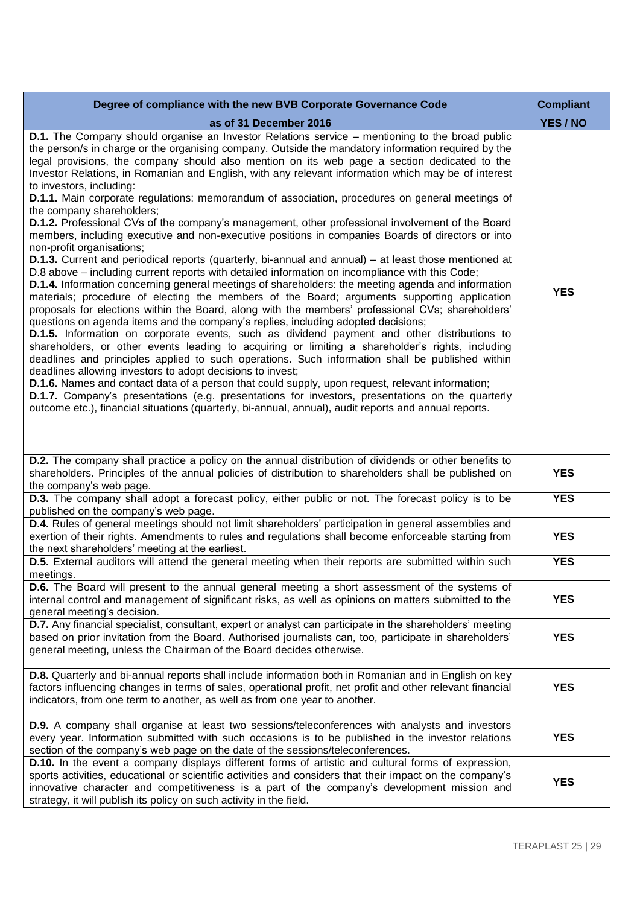| Degree of compliance with the new BVB Corporate Governance Code                                                                                                                                                                                                                                                                                                                                                                                                                                                                                                                                                                                                                                                                                                                                                                                                                                                                                                                                                                                                                                                                                                                                                                                                                                                                                                                                                                                                                                                                                                                                                                                                                                                                                                                                                                                                                                                                                                                                                                                                                                                                                    | <b>Compliant</b> |
|----------------------------------------------------------------------------------------------------------------------------------------------------------------------------------------------------------------------------------------------------------------------------------------------------------------------------------------------------------------------------------------------------------------------------------------------------------------------------------------------------------------------------------------------------------------------------------------------------------------------------------------------------------------------------------------------------------------------------------------------------------------------------------------------------------------------------------------------------------------------------------------------------------------------------------------------------------------------------------------------------------------------------------------------------------------------------------------------------------------------------------------------------------------------------------------------------------------------------------------------------------------------------------------------------------------------------------------------------------------------------------------------------------------------------------------------------------------------------------------------------------------------------------------------------------------------------------------------------------------------------------------------------------------------------------------------------------------------------------------------------------------------------------------------------------------------------------------------------------------------------------------------------------------------------------------------------------------------------------------------------------------------------------------------------------------------------------------------------------------------------------------------------|------------------|
| as of 31 December 2016                                                                                                                                                                                                                                                                                                                                                                                                                                                                                                                                                                                                                                                                                                                                                                                                                                                                                                                                                                                                                                                                                                                                                                                                                                                                                                                                                                                                                                                                                                                                                                                                                                                                                                                                                                                                                                                                                                                                                                                                                                                                                                                             | YES / NO         |
| D.1. The Company should organise an Investor Relations service - mentioning to the broad public<br>the person/s in charge or the organising company. Outside the mandatory information required by the<br>legal provisions, the company should also mention on its web page a section dedicated to the<br>Investor Relations, in Romanian and English, with any relevant information which may be of interest<br>to investors, including:<br><b>D.1.1.</b> Main corporate regulations: memorandum of association, procedures on general meetings of<br>the company shareholders;<br><b>D.1.2.</b> Professional CVs of the company's management, other professional involvement of the Board<br>members, including executive and non-executive positions in companies Boards of directors or into<br>non-profit organisations;<br>D.1.3. Current and periodical reports (quarterly, bi-annual and annual) - at least those mentioned at<br>D.8 above – including current reports with detailed information on incompliance with this Code;<br>D.1.4. Information concerning general meetings of shareholders: the meeting agenda and information<br>materials; procedure of electing the members of the Board; arguments supporting application<br>proposals for elections within the Board, along with the members' professional CVs; shareholders'<br>questions on agenda items and the company's replies, including adopted decisions;<br><b>D.1.5.</b> Information on corporate events, such as dividend payment and other distributions to<br>shareholders, or other events leading to acquiring or limiting a shareholder's rights, including<br>deadlines and principles applied to such operations. Such information shall be published within<br>deadlines allowing investors to adopt decisions to invest;<br><b>D.1.6.</b> Names and contact data of a person that could supply, upon request, relevant information;<br><b>D.1.7.</b> Company's presentations (e.g. presentations for investors, presentations on the quarterly<br>outcome etc.), financial situations (quarterly, bi-annual, annual), audit reports and annual reports. | <b>YES</b>       |
| <b>D.2.</b> The company shall practice a policy on the annual distribution of dividends or other benefits to<br>shareholders. Principles of the annual policies of distribution to shareholders shall be published on<br>the company's web page.                                                                                                                                                                                                                                                                                                                                                                                                                                                                                                                                                                                                                                                                                                                                                                                                                                                                                                                                                                                                                                                                                                                                                                                                                                                                                                                                                                                                                                                                                                                                                                                                                                                                                                                                                                                                                                                                                                   | <b>YES</b>       |
| D.3. The company shall adopt a forecast policy, either public or not. The forecast policy is to be<br>published on the company's web page.                                                                                                                                                                                                                                                                                                                                                                                                                                                                                                                                                                                                                                                                                                                                                                                                                                                                                                                                                                                                                                                                                                                                                                                                                                                                                                                                                                                                                                                                                                                                                                                                                                                                                                                                                                                                                                                                                                                                                                                                         | <b>YES</b>       |
| D.4. Rules of general meetings should not limit shareholders' participation in general assemblies and<br>exertion of their rights. Amendments to rules and regulations shall become enforceable starting from<br>the next shareholders' meeting at the earliest.                                                                                                                                                                                                                                                                                                                                                                                                                                                                                                                                                                                                                                                                                                                                                                                                                                                                                                                                                                                                                                                                                                                                                                                                                                                                                                                                                                                                                                                                                                                                                                                                                                                                                                                                                                                                                                                                                   | <b>YES</b>       |
| D.5. External auditors will attend the general meeting when their reports are submitted within such<br>meetings.                                                                                                                                                                                                                                                                                                                                                                                                                                                                                                                                                                                                                                                                                                                                                                                                                                                                                                                                                                                                                                                                                                                                                                                                                                                                                                                                                                                                                                                                                                                                                                                                                                                                                                                                                                                                                                                                                                                                                                                                                                   | <b>YES</b>       |
| D.6. The Board will present to the annual general meeting a short assessment of the systems of<br>internal control and management of significant risks, as well as opinions on matters submitted to the<br>general meeting's decision.                                                                                                                                                                                                                                                                                                                                                                                                                                                                                                                                                                                                                                                                                                                                                                                                                                                                                                                                                                                                                                                                                                                                                                                                                                                                                                                                                                                                                                                                                                                                                                                                                                                                                                                                                                                                                                                                                                             | <b>YES</b>       |
| D.7. Any financial specialist, consultant, expert or analyst can participate in the shareholders' meeting<br>based on prior invitation from the Board. Authorised journalists can, too, participate in shareholders'<br>general meeting, unless the Chairman of the Board decides otherwise.                                                                                                                                                                                                                                                                                                                                                                                                                                                                                                                                                                                                                                                                                                                                                                                                                                                                                                                                                                                                                                                                                                                                                                                                                                                                                                                                                                                                                                                                                                                                                                                                                                                                                                                                                                                                                                                       | <b>YES</b>       |
| D.8. Quarterly and bi-annual reports shall include information both in Romanian and in English on key<br>factors influencing changes in terms of sales, operational profit, net profit and other relevant financial<br>indicators, from one term to another, as well as from one year to another.                                                                                                                                                                                                                                                                                                                                                                                                                                                                                                                                                                                                                                                                                                                                                                                                                                                                                                                                                                                                                                                                                                                                                                                                                                                                                                                                                                                                                                                                                                                                                                                                                                                                                                                                                                                                                                                  | <b>YES</b>       |
| <b>D.9.</b> A company shall organise at least two sessions/teleconferences with analysts and investors<br>every year. Information submitted with such occasions is to be published in the investor relations<br>section of the company's web page on the date of the sessions/teleconferences.                                                                                                                                                                                                                                                                                                                                                                                                                                                                                                                                                                                                                                                                                                                                                                                                                                                                                                                                                                                                                                                                                                                                                                                                                                                                                                                                                                                                                                                                                                                                                                                                                                                                                                                                                                                                                                                     | <b>YES</b>       |
| <b>D.10.</b> In the event a company displays different forms of artistic and cultural forms of expression,<br>sports activities, educational or scientific activities and considers that their impact on the company's<br>innovative character and competitiveness is a part of the company's development mission and<br>strategy, it will publish its policy on such activity in the field.                                                                                                                                                                                                                                                                                                                                                                                                                                                                                                                                                                                                                                                                                                                                                                                                                                                                                                                                                                                                                                                                                                                                                                                                                                                                                                                                                                                                                                                                                                                                                                                                                                                                                                                                                       | <b>YES</b>       |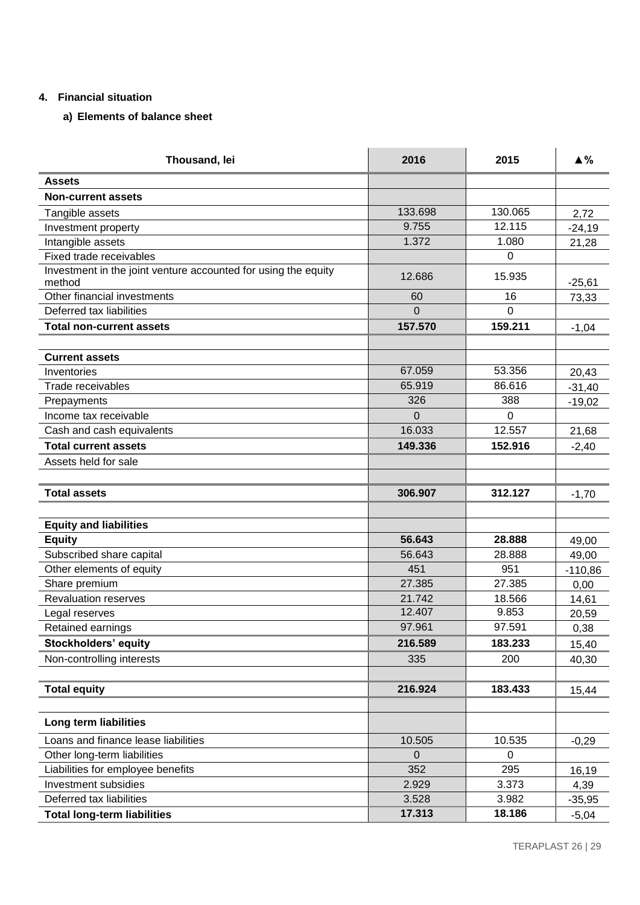## **4. Financial situation**

# **a) Elements of balance sheet**

| Thousand, lei                                                            | 2016     | 2015     | $\triangle$ % |
|--------------------------------------------------------------------------|----------|----------|---------------|
| <b>Assets</b>                                                            |          |          |               |
| <b>Non-current assets</b>                                                |          |          |               |
| Tangible assets                                                          | 133.698  | 130.065  | 2,72          |
| Investment property                                                      | 9.755    | 12.115   | $-24,19$      |
| Intangible assets                                                        | 1.372    | 1.080    | 21,28         |
| Fixed trade receivables                                                  |          | 0        |               |
| Investment in the joint venture accounted for using the equity<br>method | 12.686   | 15.935   | $-25,61$      |
| Other financial investments                                              | 60       | 16       | 73,33         |
| Deferred tax liabilities                                                 | $\Omega$ | $\Omega$ |               |
| <b>Total non-current assets</b>                                          | 157.570  | 159.211  | $-1,04$       |
|                                                                          |          |          |               |
| <b>Current assets</b>                                                    |          |          |               |
| Inventories                                                              | 67.059   | 53.356   | 20,43         |
| Trade receivables                                                        | 65.919   | 86.616   | $-31,40$      |
| Prepayments                                                              | 326      | 388      | $-19,02$      |
| Income tax receivable                                                    | $\Omega$ | $\Omega$ |               |
| Cash and cash equivalents                                                | 16.033   | 12.557   | 21,68         |
| <b>Total current assets</b>                                              | 149.336  | 152.916  | $-2,40$       |
| Assets held for sale                                                     |          |          |               |
|                                                                          |          |          |               |
| <b>Total assets</b>                                                      | 306.907  | 312.127  | $-1,70$       |
|                                                                          |          |          |               |
| <b>Equity and liabilities</b>                                            |          |          |               |
| <b>Equity</b>                                                            | 56.643   | 28.888   | 49,00         |
| Subscribed share capital                                                 | 56.643   | 28.888   | 49,00         |
| Other elements of equity                                                 | 451      | 951      | $-110,86$     |
| Share premium                                                            | 27.385   | 27.385   | 0,00          |
| <b>Revaluation reserves</b>                                              | 21.742   | 18.566   | 14,61         |
| Legal reserves                                                           | 12.407   | 9.853    | 20,59         |
| Retained earnings                                                        | 97.961   | 97.591   | 0,38          |
| <b>Stockholders' equity</b>                                              | 216.589  | 183.233  | 15,40         |
| Non-controlling interests                                                | 335      | 200      | 40,30         |
|                                                                          |          |          |               |
| <b>Total equity</b>                                                      | 216.924  | 183.433  | 15,44         |
| Long term liabilities                                                    |          |          |               |
|                                                                          |          |          |               |
| Loans and finance lease liabilities                                      | 10.505   | 10.535   | $-0,29$       |
| Other long-term liabilities<br>Liabilities for employee benefits         | 0<br>352 | 0<br>295 |               |
| <b>Investment subsidies</b>                                              | 2.929    | 3.373    | 16,19         |
| Deferred tax liabilities                                                 | 3.528    | 3.982    | 4,39          |
| <b>Total long-term liabilities</b>                                       | 17.313   | 18.186   | $-35,95$      |
|                                                                          |          |          | $-5,04$       |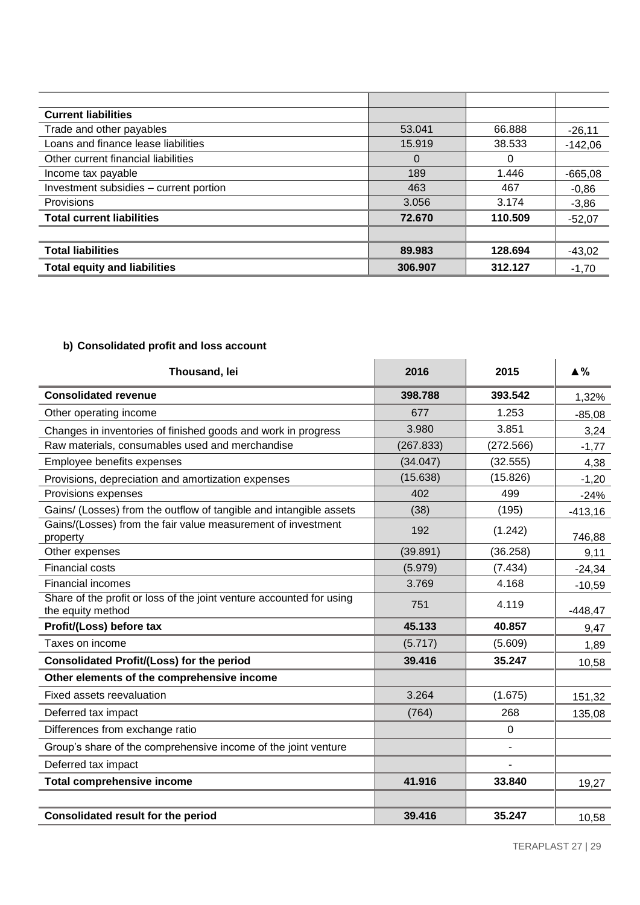| <b>Current liabilities</b>             |         |         |           |
|----------------------------------------|---------|---------|-----------|
| Trade and other payables               | 53.041  | 66.888  | $-26,11$  |
| Loans and finance lease liabilities    | 15.919  | 38.533  | $-142,06$ |
| Other current financial liabilities    | 0       | 0       |           |
| Income tax payable                     | 189     | 1.446   | $-665,08$ |
| Investment subsidies - current portion | 463     | 467     | $-0.86$   |
| Provisions                             | 3.056   | 3.174   | $-3,86$   |
| <b>Total current liabilities</b>       | 72.670  | 110.509 | $-52,07$  |
|                                        |         |         |           |
| <b>Total liabilities</b>               | 89.983  | 128.694 | $-43,02$  |
| <b>Total equity and liabilities</b>    | 306.907 | 312.127 | $-1,70$   |

# **b) Consolidated profit and loss account**

| Thousand, lei                                                                             | 2016      | 2015        | $\blacktriangle$ % |
|-------------------------------------------------------------------------------------------|-----------|-------------|--------------------|
| <b>Consolidated revenue</b>                                                               | 398.788   | 393.542     | 1,32%              |
| Other operating income                                                                    | 677       | 1.253       | $-85,08$           |
| Changes in inventories of finished goods and work in progress                             | 3.980     | 3.851       | 3,24               |
| Raw materials, consumables used and merchandise                                           | (267.833) | (272.566)   | $-1,77$            |
| Employee benefits expenses                                                                | (34.047)  | (32.555)    | 4,38               |
| Provisions, depreciation and amortization expenses                                        | (15.638)  | (15.826)    | $-1,20$            |
| Provisions expenses                                                                       | 402       | 499         | $-24%$             |
| Gains/ (Losses) from the outflow of tangible and intangible assets                        | (38)      | (195)       | $-413,16$          |
| Gains/(Losses) from the fair value measurement of investment<br>property                  | 192       | (1.242)     | 746,88             |
| Other expenses                                                                            | (39.891)  | (36.258)    | 9,11               |
| <b>Financial costs</b>                                                                    | (5.979)   | (7.434)     | $-24,34$           |
| <b>Financial incomes</b>                                                                  | 3.769     | 4.168       | $-10,59$           |
| Share of the profit or loss of the joint venture accounted for using<br>the equity method | 751       | 4.119       | $-448,47$          |
| Profit/(Loss) before tax                                                                  | 45.133    | 40.857      | 9,47               |
| Taxes on income                                                                           | (5.717)   | (5.609)     | 1,89               |
| <b>Consolidated Profit/(Loss) for the period</b>                                          | 39.416    | 35.247      | 10,58              |
| Other elements of the comprehensive income                                                |           |             |                    |
| Fixed assets reevaluation                                                                 | 3.264     | (1.675)     | 151,32             |
| Deferred tax impact                                                                       | (764)     | 268         | 135,08             |
| Differences from exchange ratio                                                           |           | $\mathbf 0$ |                    |
| Group's share of the comprehensive income of the joint venture                            |           | L,          |                    |
| Deferred tax impact                                                                       |           |             |                    |
| <b>Total comprehensive income</b>                                                         | 41.916    | 33.840      | 19,27              |
| <b>Consolidated result for the period</b>                                                 | 39.416    | 35.247      | 10,58              |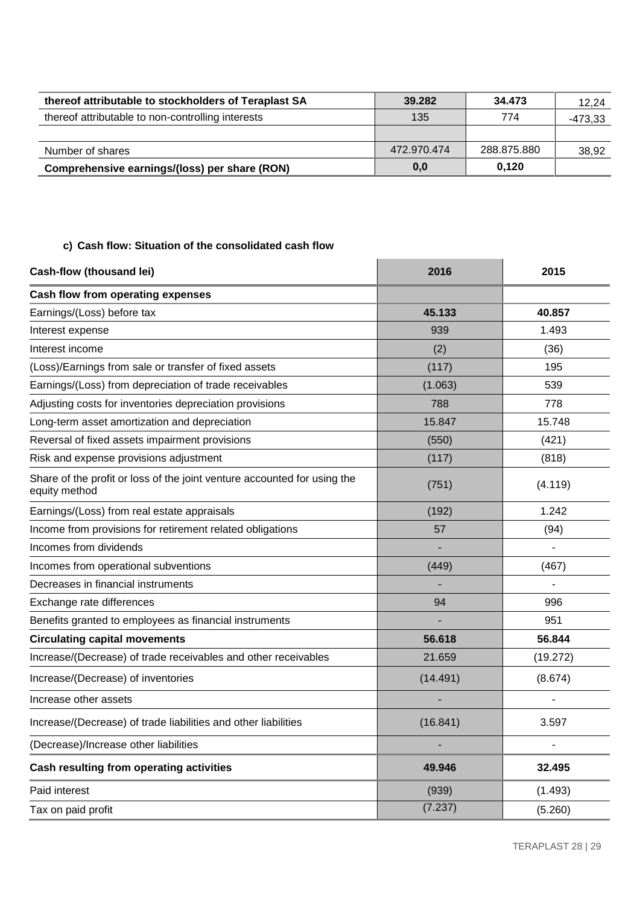| thereof attributable to stockholders of Teraplast SA | 39.282      | 34.473      | 12.24   |
|------------------------------------------------------|-------------|-------------|---------|
| thereof attributable to non-controlling interests    | 135         | 774         | -473,33 |
|                                                      |             |             |         |
| Number of shares                                     | 472.970.474 | 288.875.880 | 38,92   |
| Comprehensive earnings/(loss) per share (RON)        | 0,0         | 0.120       |         |

# **c) Cash flow: Situation of the consolidated cash flow**

| <b>Cash-flow (thousand lei)</b>                                                           | 2016     | 2015     |
|-------------------------------------------------------------------------------------------|----------|----------|
| Cash flow from operating expenses                                                         |          |          |
| Earnings/(Loss) before tax                                                                | 45.133   | 40.857   |
| Interest expense                                                                          | 939      | 1.493    |
| Interest income                                                                           | (2)      | (36)     |
| (Loss)/Earnings from sale or transfer of fixed assets                                     | (117)    | 195      |
| Earnings/(Loss) from depreciation of trade receivables                                    | (1.063)  | 539      |
| Adjusting costs for inventories depreciation provisions                                   | 788      | 778      |
| Long-term asset amortization and depreciation                                             | 15.847   | 15.748   |
| Reversal of fixed assets impairment provisions                                            | (550)    | (421)    |
| Risk and expense provisions adjustment                                                    | (117)    | (818)    |
| Share of the profit or loss of the joint venture accounted for using the<br>equity method | (751)    | (4.119)  |
| Earnings/(Loss) from real estate appraisals                                               | (192)    | 1.242    |
| Income from provisions for retirement related obligations                                 | 57       | (94)     |
| Incomes from dividends                                                                    |          |          |
| Incomes from operational subventions                                                      | (449)    | (467)    |
| Decreases in financial instruments                                                        |          |          |
| Exchange rate differences                                                                 | 94       | 996      |
| Benefits granted to employees as financial instruments                                    |          | 951      |
| <b>Circulating capital movements</b>                                                      | 56.618   | 56.844   |
| Increase/(Decrease) of trade receivables and other receivables                            | 21.659   | (19.272) |
| Increase/(Decrease) of inventories                                                        | (14.491) | (8.674)  |
| Increase other assets                                                                     |          |          |
| Increase/(Decrease) of trade liabilities and other liabilities                            | (16.841) | 3.597    |
| (Decrease)/Increase other liabilities                                                     |          |          |
| Cash resulting from operating activities                                                  | 49.946   | 32.495   |
| Paid interest                                                                             | (939)    | (1.493)  |
| Tax on paid profit                                                                        | (7.237)  | (5.260)  |